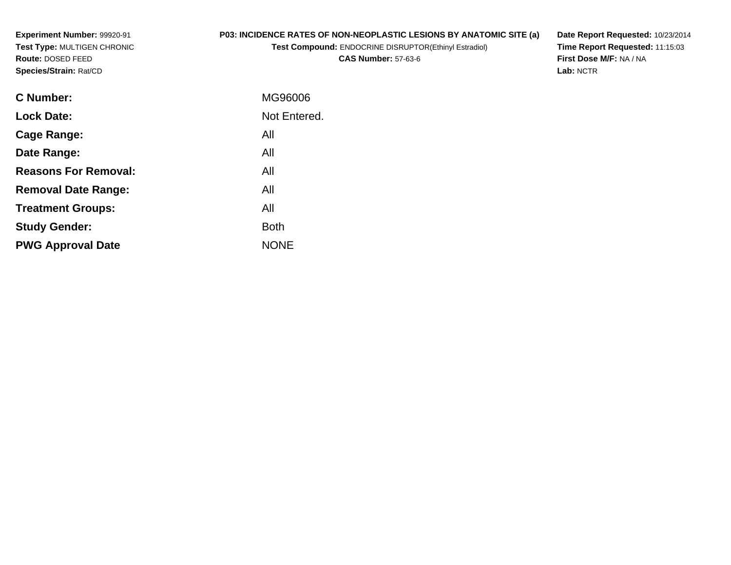# **P03: INCIDENCE RATES OF NON-NEOPLASTIC LESIONS BY ANATOMIC SITE (a)**

**Test Compound:** ENDOCRINE DISRUPTOR(Ethinyl Estradiol)

**CAS Number:** 57-63-6

**Date Report Requested:** 10/23/2014 **Time Report Requested:** 11:15:03**First Dose M/F:** NA / NA**Lab:** NCTR

| <b>C</b> Number:            | MG96006      |
|-----------------------------|--------------|
| <b>Lock Date:</b>           | Not Entered. |
| Cage Range:                 | All          |
| Date Range:                 | All          |
| <b>Reasons For Removal:</b> | All          |
| <b>Removal Date Range:</b>  | All          |
| <b>Treatment Groups:</b>    | All          |
| <b>Study Gender:</b>        | <b>Both</b>  |
| <b>PWG Approval Date</b>    | <b>NONE</b>  |
|                             |              |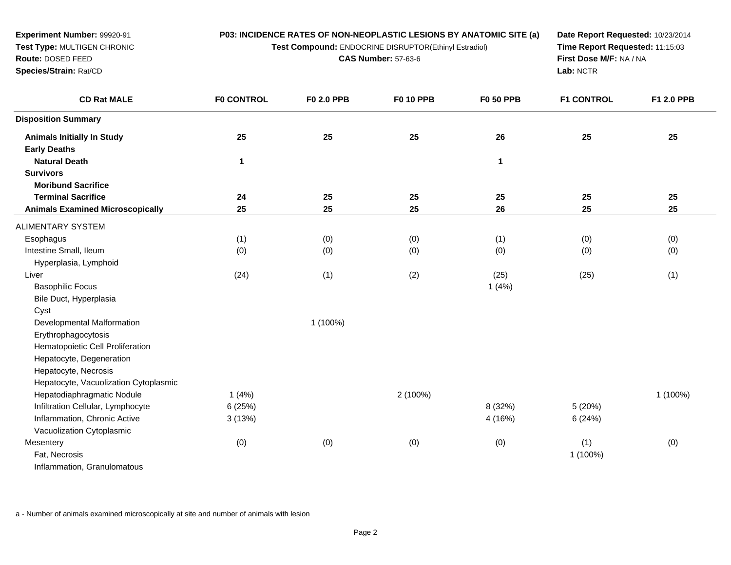**Test Compound:** ENDOCRINE DISRUPTOR(Ethinyl Estradiol)

**CAS Number:** 57-63-6

**Date Report Requested:** 10/23/2014**Time Report Requested:** 11:15:03**First Dose M/F:** NA / NA**Lab:** NCTR

| <b>CD Rat MALE</b>                      | <b>F0 CONTROL</b> | F0 2.0 PPB | <b>F0 10 PPB</b> | <b>F0 50 PPB</b> | <b>F1 CONTROL</b> | F1 2.0 PPB |
|-----------------------------------------|-------------------|------------|------------------|------------------|-------------------|------------|
| <b>Disposition Summary</b>              |                   |            |                  |                  |                   |            |
| <b>Animals Initially In Study</b>       | 25                | 25         | 25               | 26               | 25                | 25         |
| <b>Early Deaths</b>                     |                   |            |                  |                  |                   |            |
| <b>Natural Death</b>                    | 1                 |            |                  | 1                |                   |            |
| <b>Survivors</b>                        |                   |            |                  |                  |                   |            |
| <b>Moribund Sacrifice</b>               |                   |            |                  |                  |                   |            |
| <b>Terminal Sacrifice</b>               | ${\bf 24}$        | 25         | 25               | 25               | 25                | 25         |
| <b>Animals Examined Microscopically</b> | 25                | 25         | 25               | 26               | 25                | 25         |
| ALIMENTARY SYSTEM                       |                   |            |                  |                  |                   |            |
| Esophagus                               | (1)               | (0)        | (0)              | (1)              | (0)               | (0)        |
| Intestine Small, Ileum                  | (0)               | (0)        | (0)              | (0)              | (0)               | (0)        |
| Hyperplasia, Lymphoid                   |                   |            |                  |                  |                   |            |
| Liver                                   | (24)              | (1)        | (2)              | (25)             | (25)              | (1)        |
| <b>Basophilic Focus</b>                 |                   |            |                  | 1(4%)            |                   |            |
| Bile Duct, Hyperplasia                  |                   |            |                  |                  |                   |            |
| Cyst                                    |                   |            |                  |                  |                   |            |
| Developmental Malformation              |                   | 1 (100%)   |                  |                  |                   |            |
| Erythrophagocytosis                     |                   |            |                  |                  |                   |            |
| Hematopoietic Cell Proliferation        |                   |            |                  |                  |                   |            |
| Hepatocyte, Degeneration                |                   |            |                  |                  |                   |            |
| Hepatocyte, Necrosis                    |                   |            |                  |                  |                   |            |
| Hepatocyte, Vacuolization Cytoplasmic   |                   |            |                  |                  |                   |            |
| Hepatodiaphragmatic Nodule              | 1(4%)             |            | 2 (100%)         |                  |                   | 1 (100%)   |
| Infiltration Cellular, Lymphocyte       | 6 (25%)           |            |                  | 8 (32%)          | 5(20%)            |            |
| Inflammation, Chronic Active            | 3(13%)            |            |                  | 4 (16%)          | 6(24%)            |            |
| Vacuolization Cytoplasmic               |                   |            |                  |                  |                   |            |
| Mesentery                               | (0)               | (0)        | (0)              | (0)              | (1)               | (0)        |
| Fat, Necrosis                           |                   |            |                  |                  | 1 (100%)          |            |
| Inflammation, Granulomatous             |                   |            |                  |                  |                   |            |

a - Number of animals examined microscopically at site and number of animals with lesion

**Experiment Number:** 99920-91**Test Type:** MULTIGEN CHRONIC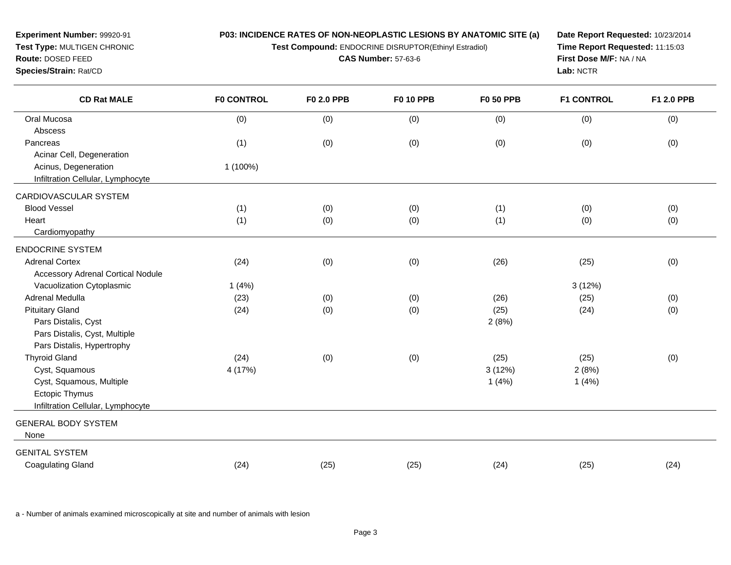**Test Compound:** ENDOCRINE DISRUPTOR(Ethinyl Estradiol)

**CAS Number:** 57-63-6

**Date Report Requested:** 10/23/2014**Time Report Requested:** 11:15:03**First Dose M/F:** NA / NA**Lab:** NCTR

| <b>CD Rat MALE</b>                       | <b>F0 CONTROL</b> | <b>F0 2.0 PPB</b> | <b>F0 10 PPB</b> | <b>F0 50 PPB</b> | <b>F1 CONTROL</b> | F1 2.0 PPB |
|------------------------------------------|-------------------|-------------------|------------------|------------------|-------------------|------------|
| Oral Mucosa                              | (0)               | (0)               | (0)              | (0)              | (0)               | (0)        |
| Abscess                                  |                   |                   |                  |                  |                   |            |
| Pancreas                                 | (1)               | (0)               | (0)              | (0)              | (0)               | (0)        |
| Acinar Cell, Degeneration                |                   |                   |                  |                  |                   |            |
| Acinus, Degeneration                     | 1 (100%)          |                   |                  |                  |                   |            |
| Infiltration Cellular, Lymphocyte        |                   |                   |                  |                  |                   |            |
| CARDIOVASCULAR SYSTEM                    |                   |                   |                  |                  |                   |            |
| <b>Blood Vessel</b>                      | (1)               | (0)               | (0)              | (1)              | (0)               | (0)        |
| Heart                                    | (1)               | (0)               | (0)              | (1)              | (0)               | (0)        |
| Cardiomyopathy                           |                   |                   |                  |                  |                   |            |
| <b>ENDOCRINE SYSTEM</b>                  |                   |                   |                  |                  |                   |            |
| <b>Adrenal Cortex</b>                    | (24)              | (0)               | (0)              | (26)             | (25)              | (0)        |
| <b>Accessory Adrenal Cortical Nodule</b> |                   |                   |                  |                  |                   |            |
| Vacuolization Cytoplasmic                | 1(4%)             |                   |                  |                  | 3(12%)            |            |
| Adrenal Medulla                          | (23)              | (0)               | (0)              | (26)             | (25)              | (0)        |
| <b>Pituitary Gland</b>                   | (24)              | (0)               | (0)              | (25)             | (24)              | (0)        |
| Pars Distalis, Cyst                      |                   |                   |                  | 2(8%)            |                   |            |
| Pars Distalis, Cyst, Multiple            |                   |                   |                  |                  |                   |            |
| Pars Distalis, Hypertrophy               |                   |                   |                  |                  |                   |            |
| <b>Thyroid Gland</b>                     | (24)              | (0)               | (0)              | (25)             | (25)              | (0)        |
| Cyst, Squamous                           | 4 (17%)           |                   |                  | 3(12%)           | 2(8%)             |            |
| Cyst, Squamous, Multiple                 |                   |                   |                  | 1(4%)            | 1(4%)             |            |
| <b>Ectopic Thymus</b>                    |                   |                   |                  |                  |                   |            |
| Infiltration Cellular, Lymphocyte        |                   |                   |                  |                  |                   |            |
| <b>GENERAL BODY SYSTEM</b>               |                   |                   |                  |                  |                   |            |
| None                                     |                   |                   |                  |                  |                   |            |
| <b>GENITAL SYSTEM</b>                    |                   |                   |                  |                  |                   |            |
| <b>Coagulating Gland</b>                 | (24)              | (25)              | (25)             | (24)             | (25)              | (24)       |

a - Number of animals examined microscopically at site and number of animals with lesion

**Experiment Number:** 99920-91**Test Type:** MULTIGEN CHRONIC

**Route:** DOSED FEED**Species/Strain:** Rat/CD

 $\overline{a}$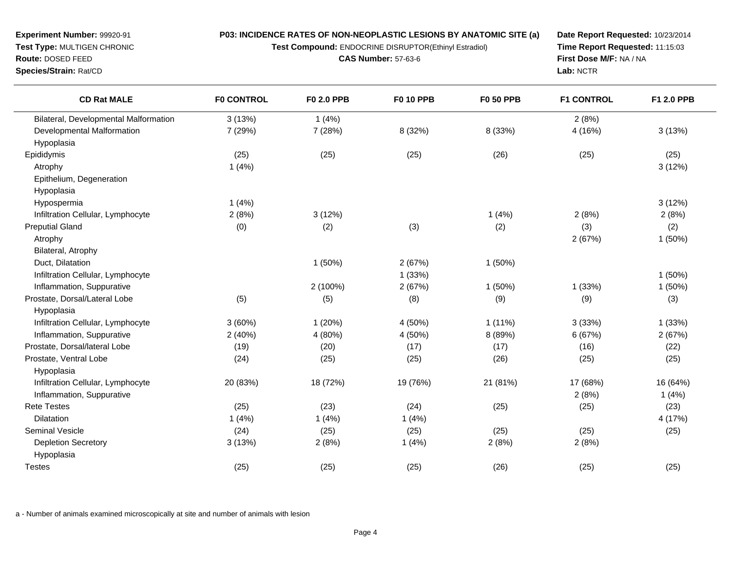**Test Compound:** ENDOCRINE DISRUPTOR(Ethinyl Estradiol)

**CAS Number:** 57-63-6

**Date Report Requested:** 10/23/2014**Time Report Requested:** 11:15:03**First Dose M/F:** NA / NA**Lab:** NCTR

| <b>CD Rat MALE</b>                    | <b>F0 CONTROL</b> | F0 2.0 PPB | <b>F0 10 PPB</b> | <b>F0 50 PPB</b> | <b>F1 CONTROL</b> | F1 2.0 PPB |
|---------------------------------------|-------------------|------------|------------------|------------------|-------------------|------------|
| Bilateral, Developmental Malformation | 3(13%)            | 1(4%)      |                  |                  | 2(8%)             |            |
| Developmental Malformation            | 7 (29%)           | 7 (28%)    | 8 (32%)          | 8 (33%)          | 4 (16%)           | 3(13%)     |
| Hypoplasia                            |                   |            |                  |                  |                   |            |
| Epididymis                            | (25)              | (25)       | (25)             | (26)             | (25)              | (25)       |
| Atrophy                               | 1(4%)             |            |                  |                  |                   | 3(12%)     |
| Epithelium, Degeneration              |                   |            |                  |                  |                   |            |
| Hypoplasia                            |                   |            |                  |                  |                   |            |
| Hypospermia                           | 1(4%)             |            |                  |                  |                   | 3(12%)     |
| Infiltration Cellular, Lymphocyte     | 2(8%)             | 3(12%)     |                  | 1(4%)            | 2(8%)             | 2(8%)      |
| <b>Preputial Gland</b>                | (0)               | (2)        | (3)              | (2)              | (3)               | (2)        |
| Atrophy                               |                   |            |                  |                  | 2(67%)            | 1(50%)     |
| Bilateral, Atrophy                    |                   |            |                  |                  |                   |            |
| Duct, Dilatation                      |                   | 1(50%)     | 2(67%)           | 1(50%)           |                   |            |
| Infiltration Cellular, Lymphocyte     |                   |            | 1(33%)           |                  |                   | 1(50%)     |
| Inflammation, Suppurative             |                   | 2 (100%)   | 2(67%)           | 1(50%)           | 1(33%)            | 1(50%)     |
| Prostate, Dorsal/Lateral Lobe         | (5)               | (5)        | (8)              | (9)              | (9)               | (3)        |
| Hypoplasia                            |                   |            |                  |                  |                   |            |
| Infiltration Cellular, Lymphocyte     | 3(60%)            | 1(20%)     | 4 (50%)          | $1(11\%)$        | 3(33%)            | 1(33%)     |
| Inflammation, Suppurative             | 2(40%)            | 4 (80%)    | 4 (50%)          | 8 (89%)          | 6 (67%)           | 2(67%)     |
| Prostate, Dorsal/lateral Lobe         | (19)              | (20)       | (17)             | (17)             | (16)              | (22)       |
| Prostate, Ventral Lobe                | (24)              | (25)       | (25)             | (26)             | (25)              | (25)       |
| Hypoplasia                            |                   |            |                  |                  |                   |            |
| Infiltration Cellular, Lymphocyte     | 20 (83%)          | 18 (72%)   | 19 (76%)         | 21 (81%)         | 17 (68%)          | 16 (64%)   |
| Inflammation, Suppurative             |                   |            |                  |                  | 2(8%)             | 1(4%)      |
| <b>Rete Testes</b>                    | (25)              | (23)       | (24)             | (25)             | (25)              | (23)       |
| <b>Dilatation</b>                     | 1(4%)             | 1(4%)      | 1(4%)            |                  |                   | 4 (17%)    |
| <b>Seminal Vesicle</b>                | (24)              | (25)       | (25)             | (25)             | (25)              | (25)       |
| <b>Depletion Secretory</b>            | 3(13%)            | 2(8%)      | 1(4%)            | 2(8%)            | 2(8%)             |            |
| Hypoplasia                            |                   |            |                  |                  |                   |            |
| <b>Testes</b>                         | (25)              | (25)       | (25)             | (26)             | (25)              | (25)       |

a - Number of animals examined microscopically at site and number of animals with lesion

**Experiment Number:** 99920-91**Test Type:** MULTIGEN CHRONIC

**Route:** DOSED FEED

**Species/Strain:** Rat/CD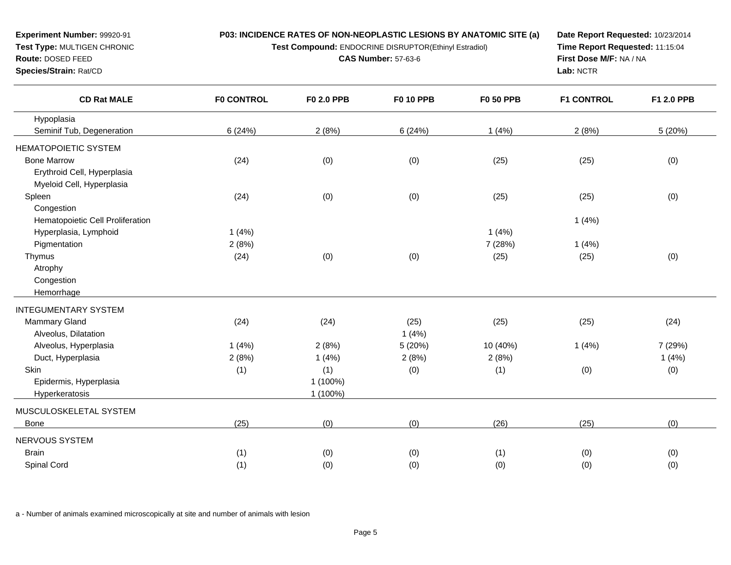**Test Compound:** ENDOCRINE DISRUPTOR(Ethinyl Estradiol)

**CAS Number:** 57-63-6

**Date Report Requested:** 10/23/2014**Time Report Requested:** 11:15:04**First Dose M/F:** NA / NA**Lab:** NCTR

| <b>CD Rat MALE</b>               | <b>F0 CONTROL</b> | <b>F0 2.0 PPB</b> | <b>F0 10 PPB</b> | <b>F0 50 PPB</b> | <b>F1 CONTROL</b> | F1 2.0 PPB |
|----------------------------------|-------------------|-------------------|------------------|------------------|-------------------|------------|
| Hypoplasia                       |                   |                   |                  |                  |                   |            |
| Seminif Tub, Degeneration        | 6(24%)            | 2(8%)             | 6(24%)           | 1(4%)            | 2(8%)             | 5(20%)     |
| <b>HEMATOPOIETIC SYSTEM</b>      |                   |                   |                  |                  |                   |            |
| <b>Bone Marrow</b>               | (24)              | (0)               | (0)              | (25)             | (25)              | (0)        |
| Erythroid Cell, Hyperplasia      |                   |                   |                  |                  |                   |            |
| Myeloid Cell, Hyperplasia        |                   |                   |                  |                  |                   |            |
| Spleen                           | (24)              | (0)               | (0)              | (25)             | (25)              | (0)        |
| Congestion                       |                   |                   |                  |                  |                   |            |
| Hematopoietic Cell Proliferation |                   |                   |                  |                  | 1(4%)             |            |
| Hyperplasia, Lymphoid            | 1(4%)             |                   |                  | 1(4%)            |                   |            |
| Pigmentation                     | 2(8%)             |                   |                  | 7 (28%)          | 1(4%)             |            |
| Thymus                           | (24)              | (0)               | (0)              | (25)             | (25)              | (0)        |
| Atrophy                          |                   |                   |                  |                  |                   |            |
| Congestion                       |                   |                   |                  |                  |                   |            |
| Hemorrhage                       |                   |                   |                  |                  |                   |            |
| <b>INTEGUMENTARY SYSTEM</b>      |                   |                   |                  |                  |                   |            |
| Mammary Gland                    | (24)              | (24)              | (25)             | (25)             | (25)              | (24)       |
| Alveolus, Dilatation             |                   |                   | 1(4%)            |                  |                   |            |
| Alveolus, Hyperplasia            | 1(4%)             | 2(8%)             | 5 (20%)          | 10 (40%)         | 1(4%)             | 7 (29%)    |
| Duct, Hyperplasia                | 2(8%)             | 1(4%)             | 2(8%)            | 2(8%)            |                   | 1(4%)      |
| Skin                             | (1)               | (1)               | (0)              | (1)              | (0)               | (0)        |
| Epidermis, Hyperplasia           |                   | 1 (100%)          |                  |                  |                   |            |
| Hyperkeratosis                   |                   | 1 (100%)          |                  |                  |                   |            |
| MUSCULOSKELETAL SYSTEM           |                   |                   |                  |                  |                   |            |
| <b>Bone</b>                      | (25)              | (0)               | (0)              | (26)             | (25)              | (0)        |
| NERVOUS SYSTEM                   |                   |                   |                  |                  |                   |            |
| <b>Brain</b>                     | (1)               | (0)               | (0)              | (1)              | (0)               | (0)        |
| Spinal Cord                      | (1)               | (0)               | (0)              | (0)              | (0)               | (0)        |
|                                  |                   |                   |                  |                  |                   |            |

a - Number of animals examined microscopically at site and number of animals with lesion

**Experiment Number:** 99920-91**Test Type:** MULTIGEN CHRONIC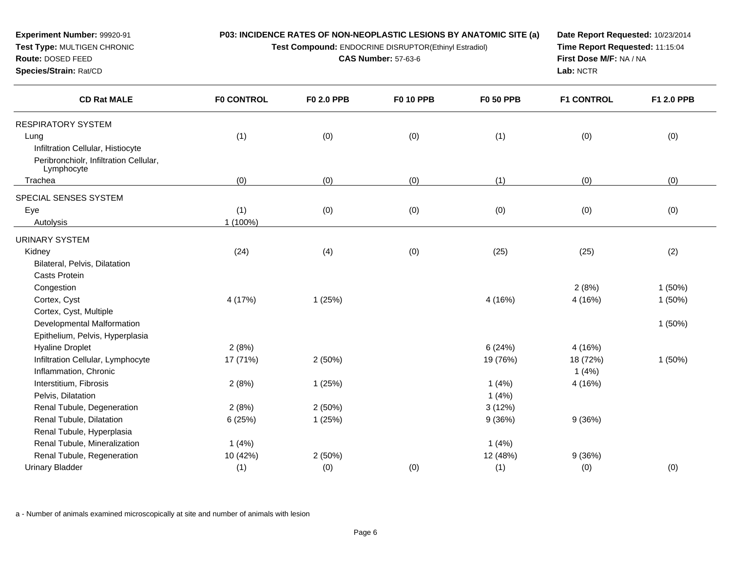**Test Compound:** ENDOCRINE DISRUPTOR(Ethinyl Estradiol)

**CAS Number:** 57-63-6

**Date Report Requested:** 10/23/2014**Time Report Requested:** 11:15:04**First Dose M/F:** NA / NA**Lab:** NCTR

| <b>CD Rat MALE</b>                                   | <b>F0 CONTROL</b> | F0 2.0 PPB | <b>F0 10 PPB</b> | <b>F0 50 PPB</b> | <b>F1 CONTROL</b> | F1 2.0 PPB |
|------------------------------------------------------|-------------------|------------|------------------|------------------|-------------------|------------|
| <b>RESPIRATORY SYSTEM</b>                            |                   |            |                  |                  |                   |            |
| Lung                                                 | (1)               | (0)        | (0)              | (1)              | (0)               | (0)        |
| Infiltration Cellular, Histiocyte                    |                   |            |                  |                  |                   |            |
| Peribronchiolr, Infiltration Cellular,<br>Lymphocyte |                   |            |                  |                  |                   |            |
| Trachea                                              | (0)               | (0)        | (0)              | (1)              | (0)               | (0)        |
| SPECIAL SENSES SYSTEM                                |                   |            |                  |                  |                   |            |
| Eye                                                  | (1)               | (0)        | (0)              | (0)              | (0)               | (0)        |
| Autolysis                                            | 1 (100%)          |            |                  |                  |                   |            |
| <b>URINARY SYSTEM</b>                                |                   |            |                  |                  |                   |            |
| Kidney                                               | (24)              | (4)        | (0)              | (25)             | (25)              | (2)        |
| Bilateral, Pelvis, Dilatation                        |                   |            |                  |                  |                   |            |
| <b>Casts Protein</b>                                 |                   |            |                  |                  |                   |            |
| Congestion                                           |                   |            |                  |                  | 2(8%)             | 1(50%)     |
| Cortex, Cyst                                         | 4 (17%)           | 1(25%)     |                  | 4 (16%)          | 4 (16%)           | $1(50\%)$  |
| Cortex, Cyst, Multiple                               |                   |            |                  |                  |                   |            |
| Developmental Malformation                           |                   |            |                  |                  |                   | 1(50%)     |
| Epithelium, Pelvis, Hyperplasia                      |                   |            |                  |                  |                   |            |
| <b>Hyaline Droplet</b>                               | 2(8%)             |            |                  | 6(24%)           | 4 (16%)           |            |
| Infiltration Cellular, Lymphocyte                    | 17 (71%)          | 2(50%)     |                  | 19 (76%)         | 18 (72%)          | 1(50%)     |
| Inflammation, Chronic                                |                   |            |                  |                  | 1(4%)             |            |
| Interstitium, Fibrosis                               | 2(8%)             | 1(25%)     |                  | 1(4%)            | 4 (16%)           |            |
| Pelvis, Dilatation                                   |                   |            |                  | 1(4%)            |                   |            |
| Renal Tubule, Degeneration                           | 2(8%)             | 2(50%)     |                  | 3(12%)           |                   |            |
| Renal Tubule, Dilatation                             | 6(25%)            | 1(25%)     |                  | 9(36%)           | 9(36%)            |            |
| Renal Tubule, Hyperplasia                            |                   |            |                  |                  |                   |            |
| Renal Tubule, Mineralization                         | 1(4%)             |            |                  | 1(4%)            |                   |            |
| Renal Tubule, Regeneration                           | 10 (42%)          | 2(50%)     |                  | 12 (48%)         | 9(36%)            |            |
| <b>Urinary Bladder</b>                               | (1)               | (0)        | (0)              | (1)              | (0)               | (0)        |

a - Number of animals examined microscopically at site and number of animals with lesion

**Experiment Number:** 99920-91**Test Type:** MULTIGEN CHRONIC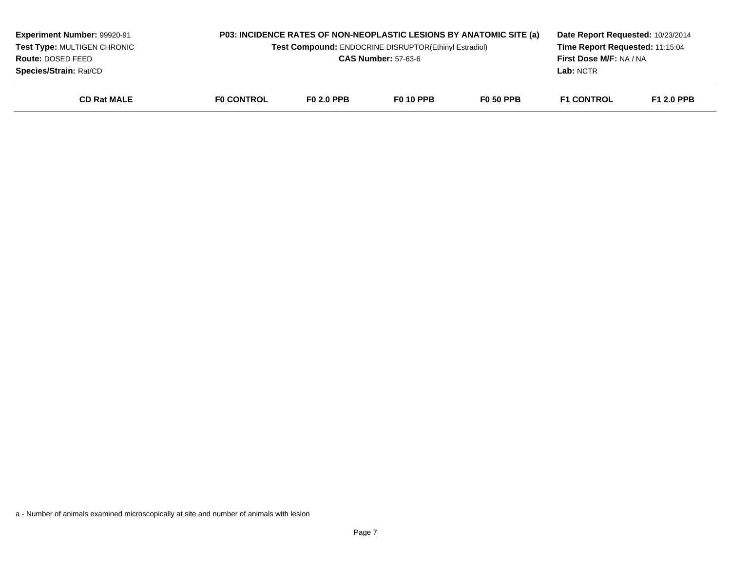| <b>Experiment Number: 99920-91</b><br>Test Type: MULTIGEN CHRONIC<br><b>Route: DOSED FEED</b><br><b>Species/Strain: Rat/CD</b> |                   | <b>P03: INCIDENCE RATES OF NON-NEOPLASTIC LESIONS BY ANATOMIC SITE (a)</b><br>Test Compound: ENDOCRINE DISRUPTOR(Ethinyl Estradiol)<br><b>CAS Number: 57-63-6</b> |                  |                  | Date Report Requested: 10/23/2014<br>Time Report Requested: 11:15:04<br><b>First Dose M/F: NA / NA</b><br>Lab: NCTR |                   |
|--------------------------------------------------------------------------------------------------------------------------------|-------------------|-------------------------------------------------------------------------------------------------------------------------------------------------------------------|------------------|------------------|---------------------------------------------------------------------------------------------------------------------|-------------------|
| <b>CD Rat MALE</b>                                                                                                             | <b>FO CONTROL</b> | <b>F0 2.0 PPB</b>                                                                                                                                                 | <b>F0 10 PPB</b> | <b>F0 50 PPB</b> | <b>F1 CONTROL</b>                                                                                                   | <b>F1 2.0 PPB</b> |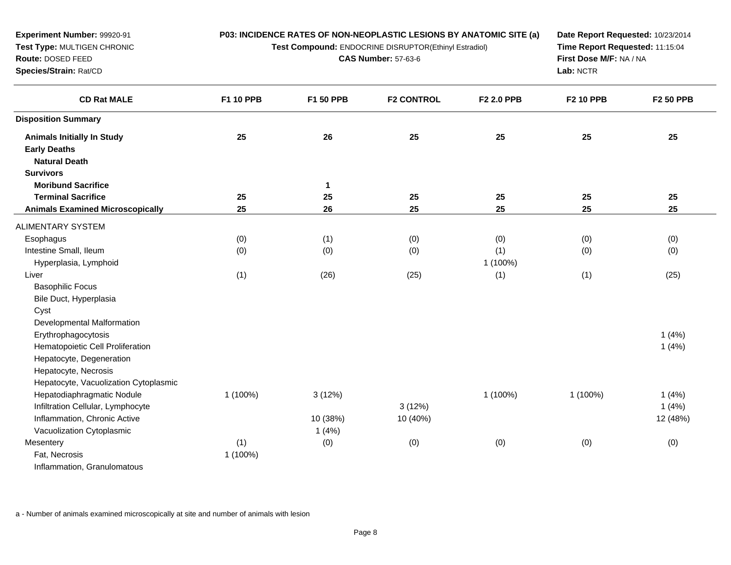| Experiment Number: 99920-91<br>Test Type: MULTIGEN CHRONIC<br>Route: DOSED FEED<br>Species/Strain: Rat/CD |           | P03: INCIDENCE RATES OF NON-NEOPLASTIC LESIONS BY ANATOMIC SITE (a)<br>Test Compound: ENDOCRINE DISRUPTOR(Ethinyl Estradiol)<br><b>CAS Number: 57-63-6</b> | Date Report Requested: 10/23/2014<br>Time Report Requested: 11:15:04<br>First Dose M/F: NA / NA<br>Lab: NCTR |            |                  |           |
|-----------------------------------------------------------------------------------------------------------|-----------|------------------------------------------------------------------------------------------------------------------------------------------------------------|--------------------------------------------------------------------------------------------------------------|------------|------------------|-----------|
| <b>CD Rat MALE</b>                                                                                        | F1 10 PPB | F1 50 PPB                                                                                                                                                  | <b>F2 CONTROL</b>                                                                                            | F2 2.0 PPB | <b>F2 10 PPB</b> | F2 50 PPB |
| <b>Disposition Summary</b>                                                                                |           |                                                                                                                                                            |                                                                                                              |            |                  |           |
| <b>Animals Initially In Study</b>                                                                         | 25        | 26                                                                                                                                                         | 25                                                                                                           | 25         | 25               | 25        |
| <b>Early Deaths</b>                                                                                       |           |                                                                                                                                                            |                                                                                                              |            |                  |           |
| <b>Natural Death</b>                                                                                      |           |                                                                                                                                                            |                                                                                                              |            |                  |           |
| <b>Survivors</b>                                                                                          |           |                                                                                                                                                            |                                                                                                              |            |                  |           |
| <b>Moribund Sacrifice</b>                                                                                 |           | $\mathbf{1}$                                                                                                                                               |                                                                                                              |            |                  |           |
| <b>Terminal Sacrifice</b>                                                                                 | 25        | 25                                                                                                                                                         | 25                                                                                                           | 25         | 25               | 25        |
| <b>Animals Examined Microscopically</b>                                                                   | 25        | 26                                                                                                                                                         | 25                                                                                                           | 25         | 25               | 25        |
| <b>ALIMENTARY SYSTEM</b>                                                                                  |           |                                                                                                                                                            |                                                                                                              |            |                  |           |
| Esophagus                                                                                                 | (0)       | (1)                                                                                                                                                        | (0)                                                                                                          | (0)        | (0)              | (0)       |
| Intestine Small, Ileum                                                                                    | (0)       | (0)                                                                                                                                                        | (0)                                                                                                          | (1)        | (0)              | (0)       |
| Hyperplasia, Lymphoid                                                                                     |           |                                                                                                                                                            |                                                                                                              | 1 (100%)   |                  |           |
| Liver                                                                                                     | (1)       | (26)                                                                                                                                                       | (25)                                                                                                         | (1)        | (1)              | (25)      |
| <b>Basophilic Focus</b>                                                                                   |           |                                                                                                                                                            |                                                                                                              |            |                  |           |
| Bile Duct, Hyperplasia                                                                                    |           |                                                                                                                                                            |                                                                                                              |            |                  |           |
| Cyst                                                                                                      |           |                                                                                                                                                            |                                                                                                              |            |                  |           |
| Developmental Malformation                                                                                |           |                                                                                                                                                            |                                                                                                              |            |                  |           |
| Erythrophagocytosis                                                                                       |           |                                                                                                                                                            |                                                                                                              |            |                  | 1(4%)     |
| Hematopoietic Cell Proliferation                                                                          |           |                                                                                                                                                            |                                                                                                              |            |                  | 1(4%)     |
| Hepatocyte, Degeneration                                                                                  |           |                                                                                                                                                            |                                                                                                              |            |                  |           |
| Hepatocyte, Necrosis                                                                                      |           |                                                                                                                                                            |                                                                                                              |            |                  |           |
| Hepatocyte, Vacuolization Cytoplasmic                                                                     |           |                                                                                                                                                            |                                                                                                              |            |                  |           |
| Hepatodiaphragmatic Nodule                                                                                | 1 (100%)  | 3(12%)                                                                                                                                                     |                                                                                                              | 1 (100%)   | 1 (100%)         | 1(4%)     |
| Infiltration Cellular, Lymphocyte                                                                         |           |                                                                                                                                                            | 3(12%)                                                                                                       |            |                  | 1(4%)     |
| Inflammation, Chronic Active                                                                              |           | 10 (38%)                                                                                                                                                   | 10 (40%)                                                                                                     |            |                  | 12 (48%)  |
| Vacuolization Cytoplasmic                                                                                 |           | 1(4%)                                                                                                                                                      |                                                                                                              |            |                  |           |
| Mesentery                                                                                                 | (1)       | (0)                                                                                                                                                        | (0)                                                                                                          | (0)        | (0)              | (0)       |
| Fat, Necrosis                                                                                             | 1 (100%)  |                                                                                                                                                            |                                                                                                              |            |                  |           |
| Inflammation, Granulomatous                                                                               |           |                                                                                                                                                            |                                                                                                              |            |                  |           |
|                                                                                                           |           |                                                                                                                                                            |                                                                                                              |            |                  |           |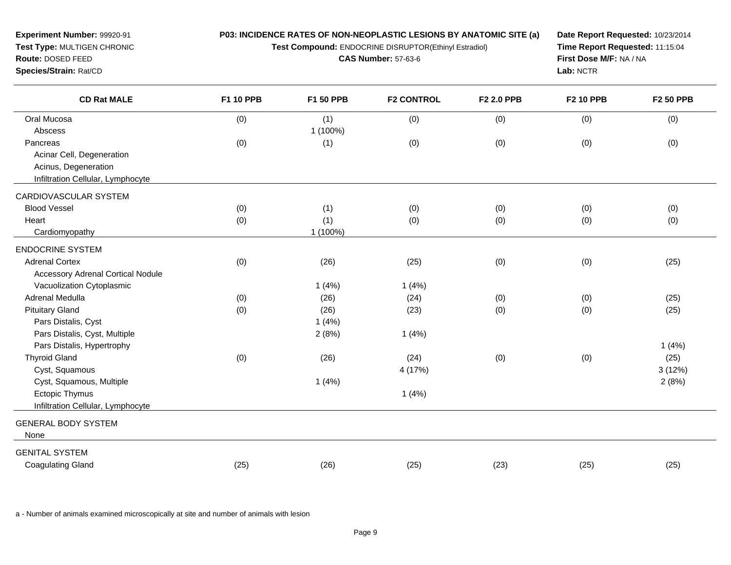| <b>Experiment Number: 99920-91</b><br>Test Type: MULTIGEN CHRONIC<br>Route: DOSED FEED<br>Species/Strain: Rat/CD | P03: INCIDENCE RATES OF NON-NEOPLASTIC LESIONS BY ANATOMIC SITE (a)<br>Test Compound: ENDOCRINE DISRUPTOR(Ethinyl Estradiol) | Date Report Requested: 10/23/2014<br>Time Report Requested: 11:15:04<br>First Dose M/F: NA / NA<br>Lab: NCTR |                   |            |                  |                  |
|------------------------------------------------------------------------------------------------------------------|------------------------------------------------------------------------------------------------------------------------------|--------------------------------------------------------------------------------------------------------------|-------------------|------------|------------------|------------------|
| <b>CD Rat MALE</b>                                                                                               | <b>F1 10 PPB</b>                                                                                                             | F1 50 PPB                                                                                                    | <b>F2 CONTROL</b> | F2 2.0 PPB | <b>F2 10 PPB</b> | <b>F2 50 PPB</b> |
| Oral Mucosa                                                                                                      | (0)                                                                                                                          | (1)                                                                                                          | (0)               | (0)        | (0)              | (0)              |
| Abscess                                                                                                          |                                                                                                                              | 1 (100%)                                                                                                     |                   |            |                  |                  |
| Pancreas                                                                                                         | (0)                                                                                                                          | (1)                                                                                                          | (0)               | (0)        | (0)              | (0)              |
| Acinar Cell, Degeneration                                                                                        |                                                                                                                              |                                                                                                              |                   |            |                  |                  |
| Acinus, Degeneration                                                                                             |                                                                                                                              |                                                                                                              |                   |            |                  |                  |
| Infiltration Cellular, Lymphocyte                                                                                |                                                                                                                              |                                                                                                              |                   |            |                  |                  |
| CARDIOVASCULAR SYSTEM                                                                                            |                                                                                                                              |                                                                                                              |                   |            |                  |                  |
| <b>Blood Vessel</b>                                                                                              | (0)                                                                                                                          | (1)                                                                                                          | (0)               | (0)        | (0)              | (0)              |
| Heart                                                                                                            | (0)                                                                                                                          | (1)                                                                                                          | (0)               | (0)        | (0)              | (0)              |
| Cardiomyopathy                                                                                                   |                                                                                                                              | 1 (100%)                                                                                                     |                   |            |                  |                  |
| <b>ENDOCRINE SYSTEM</b>                                                                                          |                                                                                                                              |                                                                                                              |                   |            |                  |                  |
| <b>Adrenal Cortex</b>                                                                                            | (0)                                                                                                                          | (26)                                                                                                         | (25)              | (0)        | (0)              | (25)             |
| <b>Accessory Adrenal Cortical Nodule</b>                                                                         |                                                                                                                              |                                                                                                              |                   |            |                  |                  |
| Vacuolization Cytoplasmic                                                                                        |                                                                                                                              | 1(4%)                                                                                                        | 1(4%)             |            |                  |                  |
| Adrenal Medulla                                                                                                  | (0)                                                                                                                          | (26)                                                                                                         | (24)              | (0)        | (0)              | (25)             |
| <b>Pituitary Gland</b>                                                                                           | (0)                                                                                                                          | (26)                                                                                                         | (23)              | (0)        | (0)              | (25)             |
| Pars Distalis, Cyst                                                                                              |                                                                                                                              | 1(4%)                                                                                                        |                   |            |                  |                  |
| Pars Distalis, Cyst, Multiple                                                                                    |                                                                                                                              | 2(8%)                                                                                                        | 1(4%)             |            |                  |                  |
| Pars Distalis, Hypertrophy                                                                                       |                                                                                                                              |                                                                                                              |                   |            |                  | 1(4%)            |
| <b>Thyroid Gland</b>                                                                                             | (0)                                                                                                                          | (26)                                                                                                         | (24)              | (0)        | (0)              | (25)             |
| Cyst, Squamous                                                                                                   |                                                                                                                              |                                                                                                              | 4 (17%)           |            |                  | 3(12%)           |
| Cyst, Squamous, Multiple                                                                                         |                                                                                                                              | 1(4%)                                                                                                        |                   |            |                  | 2(8%)            |
| Ectopic Thymus                                                                                                   |                                                                                                                              |                                                                                                              | 1(4%)             |            |                  |                  |
| Infiltration Cellular, Lymphocyte                                                                                |                                                                                                                              |                                                                                                              |                   |            |                  |                  |
| <b>GENERAL BODY SYSTEM</b>                                                                                       |                                                                                                                              |                                                                                                              |                   |            |                  |                  |
| None                                                                                                             |                                                                                                                              |                                                                                                              |                   |            |                  |                  |
| <b>GENITAL SYSTEM</b>                                                                                            |                                                                                                                              |                                                                                                              |                   |            |                  |                  |
| <b>Coagulating Gland</b>                                                                                         | (25)                                                                                                                         | (26)                                                                                                         | (25)              | (23)       | (25)             | (25)             |
|                                                                                                                  |                                                                                                                              |                                                                                                              |                   |            |                  |                  |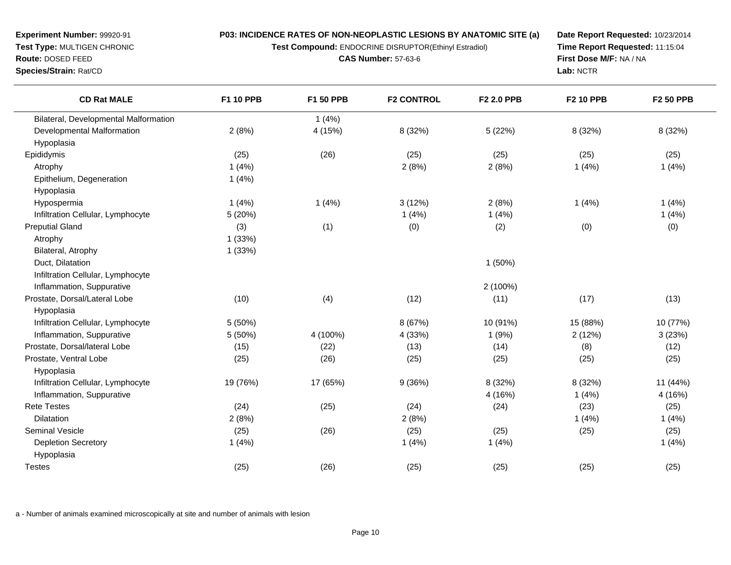**Test Compound:** ENDOCRINE DISRUPTOR(Ethinyl Estradiol)

**CAS Number:** 57-63-6

**Date Report Requested:** 10/23/2014**Time Report Requested:** 11:15:04**First Dose M/F:** NA / NA**Lab:** NCTR

| <b>CD Rat MALE</b>                    | <b>F1 10 PPB</b> | F1 50 PPB | <b>F2 CONTROL</b> | <b>F2 2.0 PPB</b> | <b>F2 10 PPB</b> | <b>F2 50 PPB</b> |
|---------------------------------------|------------------|-----------|-------------------|-------------------|------------------|------------------|
| Bilateral, Developmental Malformation |                  | 1(4%)     |                   |                   |                  |                  |
| Developmental Malformation            | 2(8%)            | 4 (15%)   | 8 (32%)           | 5 (22%)           | 8 (32%)          | 8 (32%)          |
| Hypoplasia                            |                  |           |                   |                   |                  |                  |
| Epididymis                            | (25)             | (26)      | (25)              | (25)              | (25)             | (25)             |
| Atrophy                               | 1(4%)            |           | 2(8%)             | 2(8%)             | 1(4%)            | 1(4%)            |
| Epithelium, Degeneration              | 1(4%)            |           |                   |                   |                  |                  |
| Hypoplasia                            |                  |           |                   |                   |                  |                  |
| Hypospermia                           | 1(4%)            | 1(4%)     | 3(12%)            | 2(8%)             | 1(4%)            | 1(4%)            |
| Infiltration Cellular, Lymphocyte     | 5 (20%)          |           | 1(4%)             | 1(4%)             |                  | 1(4%)            |
| <b>Preputial Gland</b>                | (3)              | (1)       | (0)               | (2)               | (0)              | (0)              |
| Atrophy                               | 1(33%)           |           |                   |                   |                  |                  |
| Bilateral, Atrophy                    | 1(33%)           |           |                   |                   |                  |                  |
| Duct, Dilatation                      |                  |           |                   | 1(50%)            |                  |                  |
| Infiltration Cellular, Lymphocyte     |                  |           |                   |                   |                  |                  |
| Inflammation, Suppurative             |                  |           |                   | 2 (100%)          |                  |                  |
| Prostate, Dorsal/Lateral Lobe         | (10)             | (4)       | (12)              | (11)              | (17)             | (13)             |
| Hypoplasia                            |                  |           |                   |                   |                  |                  |
| Infiltration Cellular, Lymphocyte     | 5 (50%)          |           | 8 (67%)           | 10 (91%)          | 15 (88%)         | 10 (77%)         |
| Inflammation, Suppurative             | 5 (50%)          | 4 (100%)  | 4 (33%)           | 1(9%)             | 2(12%)           | 3(23%)           |
| Prostate, Dorsal/lateral Lobe         | (15)             | (22)      | (13)              | (14)              | (8)              | (12)             |
| Prostate, Ventral Lobe                | (25)             | (26)      | (25)              | (25)              | (25)             | (25)             |
| Hypoplasia                            |                  |           |                   |                   |                  |                  |
| Infiltration Cellular, Lymphocyte     | 19 (76%)         | 17 (65%)  | 9(36%)            | 8 (32%)           | 8 (32%)          | 11 (44%)         |
| Inflammation, Suppurative             |                  |           |                   | 4 (16%)           | 1(4%)            | 4(16%)           |
| <b>Rete Testes</b>                    | (24)             | (25)      | (24)              | (24)              | (23)             | (25)             |
| Dilatation                            | 2(8%)            |           | 2(8%)             |                   | 1(4%)            | 1(4%)            |
| <b>Seminal Vesicle</b>                | (25)             | (26)      | (25)              | (25)              | (25)             | (25)             |
| <b>Depletion Secretory</b>            | 1(4%)            |           | 1(4%)             | 1(4%)             |                  | 1(4%)            |
| Hypoplasia                            |                  |           |                   |                   |                  |                  |
| <b>Testes</b>                         | (25)             | (26)      | (25)              | (25)              | (25)             | (25)             |
|                                       |                  |           |                   |                   |                  |                  |

a - Number of animals examined microscopically at site and number of animals with lesion

**Experiment Number:** 99920-91**Test Type:** MULTIGEN CHRONIC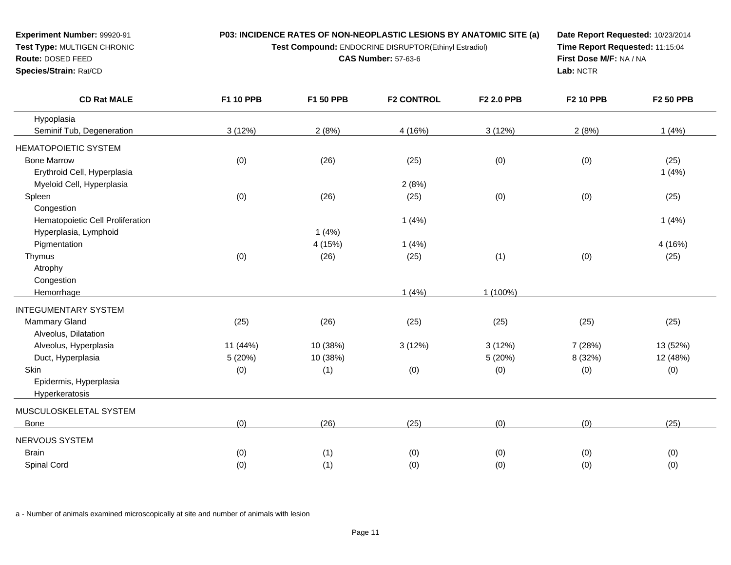**Test Compound:** ENDOCRINE DISRUPTOR(Ethinyl Estradiol)

**CAS Number:** 57-63-6

**Date Report Requested:** 10/23/2014**Time Report Requested:** 11:15:04**First Dose M/F:** NA / NA**Lab:** NCTR

| <b>CD Rat MALE</b>               | <b>F1 10 PPB</b> | F1 50 PPB | <b>F2 CONTROL</b> | F2 2.0 PPB | <b>F2 10 PPB</b> | <b>F2 50 PPB</b> |
|----------------------------------|------------------|-----------|-------------------|------------|------------------|------------------|
| Hypoplasia                       |                  |           |                   |            |                  |                  |
| Seminif Tub, Degeneration        | 3(12%)           | 2(8%)     | 4 (16%)           | 3(12%)     | 2(8%)            | 1(4%)            |
| <b>HEMATOPOIETIC SYSTEM</b>      |                  |           |                   |            |                  |                  |
| <b>Bone Marrow</b>               | (0)              | (26)      | (25)              | (0)        | (0)              | (25)             |
| Erythroid Cell, Hyperplasia      |                  |           |                   |            |                  | 1(4%)            |
| Myeloid Cell, Hyperplasia        |                  |           | 2(8%)             |            |                  |                  |
| Spleen                           | (0)              | (26)      | (25)              | (0)        | (0)              | (25)             |
| Congestion                       |                  |           |                   |            |                  |                  |
| Hematopoietic Cell Proliferation |                  |           | 1(4%)             |            |                  | 1(4%)            |
| Hyperplasia, Lymphoid            |                  | 1(4%)     |                   |            |                  |                  |
| Pigmentation                     |                  | 4 (15%)   | 1(4%)             |            |                  | 4 (16%)          |
| Thymus                           | (0)              | (26)      | (25)              | (1)        | (0)              | (25)             |
| Atrophy                          |                  |           |                   |            |                  |                  |
| Congestion                       |                  |           |                   |            |                  |                  |
| Hemorrhage                       |                  |           | 1(4%)             | 1 (100%)   |                  |                  |
| <b>INTEGUMENTARY SYSTEM</b>      |                  |           |                   |            |                  |                  |
| <b>Mammary Gland</b>             | (25)             | (26)      | (25)              | (25)       | (25)             | (25)             |
| Alveolus, Dilatation             |                  |           |                   |            |                  |                  |
| Alveolus, Hyperplasia            | 11 (44%)         | 10 (38%)  | 3(12%)            | 3(12%)     | 7 (28%)          | 13 (52%)         |
| Duct, Hyperplasia                | 5(20%)           | 10 (38%)  |                   | 5 (20%)    | 8 (32%)          | 12 (48%)         |
| Skin                             | (0)              | (1)       | (0)               | (0)        | (0)              | (0)              |
| Epidermis, Hyperplasia           |                  |           |                   |            |                  |                  |
| Hyperkeratosis                   |                  |           |                   |            |                  |                  |
| MUSCULOSKELETAL SYSTEM           |                  |           |                   |            |                  |                  |
| Bone                             | (0)              | (26)      | (25)              | (0)        | (0)              | (25)             |
| NERVOUS SYSTEM                   |                  |           |                   |            |                  |                  |
| <b>Brain</b>                     | (0)              | (1)       | (0)               | (0)        | (0)              | (0)              |
| Spinal Cord                      | (0)              | (1)       | (0)               | (0)        | (0)              | (0)              |
|                                  |                  |           |                   |            |                  |                  |

a - Number of animals examined microscopically at site and number of animals with lesion

**Experiment Number:** 99920-91**Test Type:** MULTIGEN CHRONIC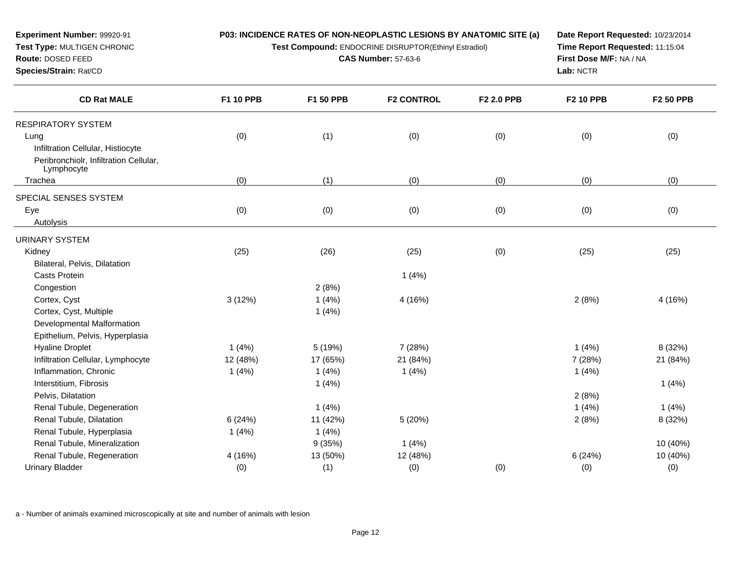**Test Compound:** ENDOCRINE DISRUPTOR(Ethinyl Estradiol)

**CAS Number:** 57-63-6

**Date Report Requested:** 10/23/2014**Time Report Requested:** 11:15:04**First Dose M/F:** NA / NA**Lab:** NCTR

| <b>CD Rat MALE</b>                                   | F1 10 PPB | F1 50 PPB | <b>F2 CONTROL</b> | F2 2.0 PPB | <b>F2 10 PPB</b> | <b>F2 50 PPB</b> |
|------------------------------------------------------|-----------|-----------|-------------------|------------|------------------|------------------|
| <b>RESPIRATORY SYSTEM</b>                            |           |           |                   |            |                  |                  |
| Lung                                                 | (0)       | (1)       | (0)               | (0)        | (0)              | (0)              |
| Infiltration Cellular, Histiocyte                    |           |           |                   |            |                  |                  |
| Peribronchiolr, Infiltration Cellular,<br>Lymphocyte |           |           |                   |            |                  |                  |
| Trachea                                              | (0)       | (1)       | (0)               | (0)        | (0)              | (0)              |
| SPECIAL SENSES SYSTEM                                |           |           |                   |            |                  |                  |
| Eye                                                  | (0)       | (0)       | (0)               | (0)        | (0)              | (0)              |
| Autolysis                                            |           |           |                   |            |                  |                  |
| <b>URINARY SYSTEM</b>                                |           |           |                   |            |                  |                  |
| Kidney                                               | (25)      | (26)      | (25)              | (0)        | (25)             | (25)             |
| Bilateral, Pelvis, Dilatation                        |           |           |                   |            |                  |                  |
| <b>Casts Protein</b>                                 |           |           | 1(4%)             |            |                  |                  |
| Congestion                                           |           | 2(8%)     |                   |            |                  |                  |
| Cortex, Cyst                                         | 3(12%)    | 1(4%)     | 4 (16%)           |            | 2(8%)            | 4(16%)           |
| Cortex, Cyst, Multiple                               |           | 1(4%)     |                   |            |                  |                  |
| Developmental Malformation                           |           |           |                   |            |                  |                  |
| Epithelium, Pelvis, Hyperplasia                      |           |           |                   |            |                  |                  |
| <b>Hyaline Droplet</b>                               | 1(4%)     | 5 (19%)   | 7 (28%)           |            | 1(4%)            | 8 (32%)          |
| Infiltration Cellular, Lymphocyte                    | 12 (48%)  | 17 (65%)  | 21 (84%)          |            | 7 (28%)          | 21 (84%)         |
| Inflammation, Chronic                                | 1(4%)     | 1(4%)     | 1(4%)             |            | 1(4%)            |                  |
| Interstitium, Fibrosis                               |           | 1(4%)     |                   |            |                  | 1(4%)            |
| Pelvis, Dilatation                                   |           |           |                   |            | 2(8%)            |                  |
| Renal Tubule, Degeneration                           |           | 1(4%)     |                   |            | 1(4%)            | 1(4%)            |
| Renal Tubule, Dilatation                             | 6(24%)    | 11 (42%)  | 5(20%)            |            | 2(8%)            | 8 (32%)          |
| Renal Tubule, Hyperplasia                            | 1(4%)     | 1(4%)     |                   |            |                  |                  |
| Renal Tubule, Mineralization                         |           | 9(35%)    | 1(4%)             |            |                  | 10 (40%)         |
| Renal Tubule, Regeneration                           | 4 (16%)   | 13 (50%)  | 12 (48%)          |            | 6(24%)           | 10 (40%)         |
| <b>Urinary Bladder</b>                               | (0)       | (1)       | (0)               | (0)        | (0)              | (0)              |

a - Number of animals examined microscopically at site and number of animals with lesion

**Experiment Number:** 99920-91**Test Type:** MULTIGEN CHRONIC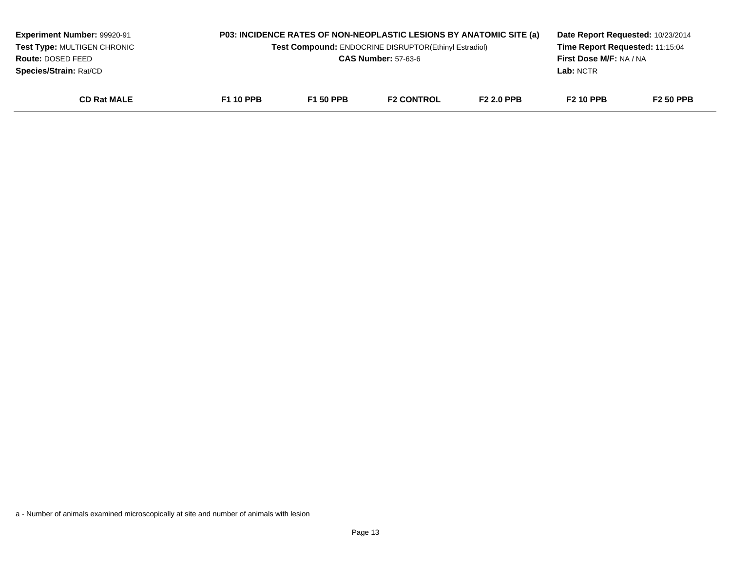| <b>Experiment Number: 99920-91</b><br>Test Type: MULTIGEN CHRONIC<br>Route: DOSED FEED<br><b>Species/Strain: Rat/CD</b> |                  |                  | P03: INCIDENCE RATES OF NON-NEOPLASTIC LESIONS BY ANATOMIC SITE (a)<br><b>Test Compound: ENDOCRINE DISRUPTOR(Ethinyl Estradiol)</b><br><b>CAS Number: 57-63-6</b> |                   | Date Report Requested: 10/23/2014<br>Time Report Requested: 11:15:04<br><b>First Dose M/F: NA / NA</b><br>Lab: NCTR |                  |
|-------------------------------------------------------------------------------------------------------------------------|------------------|------------------|-------------------------------------------------------------------------------------------------------------------------------------------------------------------|-------------------|---------------------------------------------------------------------------------------------------------------------|------------------|
| <b>CD Rat MALE</b>                                                                                                      | <b>F1 10 PPB</b> | <b>F1 50 PPB</b> | <b>F2 CONTROL</b>                                                                                                                                                 | <b>F2 2.0 PPB</b> | <b>F2 10 PPB</b>                                                                                                    | <b>F2 50 PPB</b> |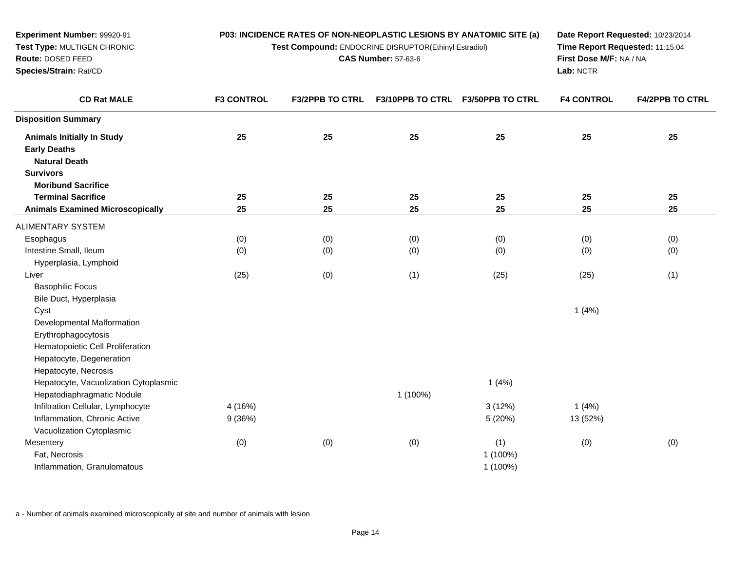| <b>Experiment Number: 99920-91</b><br>Test Type: MULTIGEN CHRONIC<br>Route: DOSED FEED<br>Species/Strain: Rat/CD |                   | P03: INCIDENCE RATES OF NON-NEOPLASTIC LESIONS BY ANATOMIC SITE (a)<br>Test Compound: ENDOCRINE DISRUPTOR(Ethinyl Estradiol)<br><b>CAS Number: 57-63-6</b> |                         |                         |                   | Date Report Requested: 10/23/2014<br>Time Report Requested: 11:15:04<br>First Dose M/F: NA / NA<br>Lab: NCTR |  |
|------------------------------------------------------------------------------------------------------------------|-------------------|------------------------------------------------------------------------------------------------------------------------------------------------------------|-------------------------|-------------------------|-------------------|--------------------------------------------------------------------------------------------------------------|--|
| <b>CD Rat MALE</b>                                                                                               | <b>F3 CONTROL</b> | <b>F3/2PPB TO CTRL</b>                                                                                                                                     | <b>F3/10PPB TO CTRL</b> | <b>F3/50PPB TO CTRL</b> | <b>F4 CONTROL</b> | <b>F4/2PPB TO CTRL</b>                                                                                       |  |
| <b>Disposition Summary</b>                                                                                       |                   |                                                                                                                                                            |                         |                         |                   |                                                                                                              |  |
| <b>Animals Initially In Study</b>                                                                                | 25                | 25                                                                                                                                                         | 25                      | 25                      | 25                | 25                                                                                                           |  |
| <b>Early Deaths</b>                                                                                              |                   |                                                                                                                                                            |                         |                         |                   |                                                                                                              |  |
| <b>Natural Death</b>                                                                                             |                   |                                                                                                                                                            |                         |                         |                   |                                                                                                              |  |
| <b>Survivors</b>                                                                                                 |                   |                                                                                                                                                            |                         |                         |                   |                                                                                                              |  |
| <b>Moribund Sacrifice</b>                                                                                        |                   |                                                                                                                                                            |                         |                         |                   |                                                                                                              |  |
| <b>Terminal Sacrifice</b>                                                                                        | 25                | 25                                                                                                                                                         | 25                      | 25                      | 25                | 25                                                                                                           |  |
| <b>Animals Examined Microscopically</b>                                                                          | 25                | 25                                                                                                                                                         | 25                      | 25                      | 25                | 25                                                                                                           |  |
| ALIMENTARY SYSTEM                                                                                                |                   |                                                                                                                                                            |                         |                         |                   |                                                                                                              |  |
| Esophagus                                                                                                        | (0)               | (0)                                                                                                                                                        | (0)                     | (0)                     | (0)               | (0)                                                                                                          |  |
| Intestine Small, Ileum                                                                                           | (0)               | (0)                                                                                                                                                        | (0)                     | (0)                     | (0)               | (0)                                                                                                          |  |
| Hyperplasia, Lymphoid                                                                                            |                   |                                                                                                                                                            |                         |                         |                   |                                                                                                              |  |
| Liver                                                                                                            | (25)              | (0)                                                                                                                                                        | (1)                     | (25)                    | (25)              | (1)                                                                                                          |  |
| <b>Basophilic Focus</b>                                                                                          |                   |                                                                                                                                                            |                         |                         |                   |                                                                                                              |  |

| Hepatocyte, Degeneration              |         |     |          |           |          |     |
|---------------------------------------|---------|-----|----------|-----------|----------|-----|
| Hepatocyte, Necrosis                  |         |     |          |           |          |     |
| Hepatocyte, Vacuolization Cytoplasmic |         |     |          | 1(4%)     |          |     |
| Hepatodiaphragmatic Nodule            |         |     | 1 (100%) |           |          |     |
| Infiltration Cellular, Lymphocyte     | 4 (16%) |     |          | 3(12%)    | 1(4%)    |     |
| Inflammation, Chronic Active          | 9 (36%) |     |          | 5(20%)    | 13 (52%) |     |
| Vacuolization Cytoplasmic             |         |     |          |           |          |     |
| Mesentery                             | (0)     | (0) | (0)      | (1)       | (0)      | (0) |
| Fat, Necrosis                         |         |     |          | 1 (100%)  |          |     |
| Inflammation, Granulomatous           |         |     |          | $(100\%)$ |          |     |

t the contract of the contract of the contract of the contract of the contract of the contract of the contract of the contract of the contract of the contract of the contract of the contract of the contract of the contrac

a - Number of animals examined microscopically at site and number of animals with lesion

Bile Duct, Hyperplasia

Erythrophagocytosis

Developmental Malformation

Hematopoietic Cell Proliferation

Cyst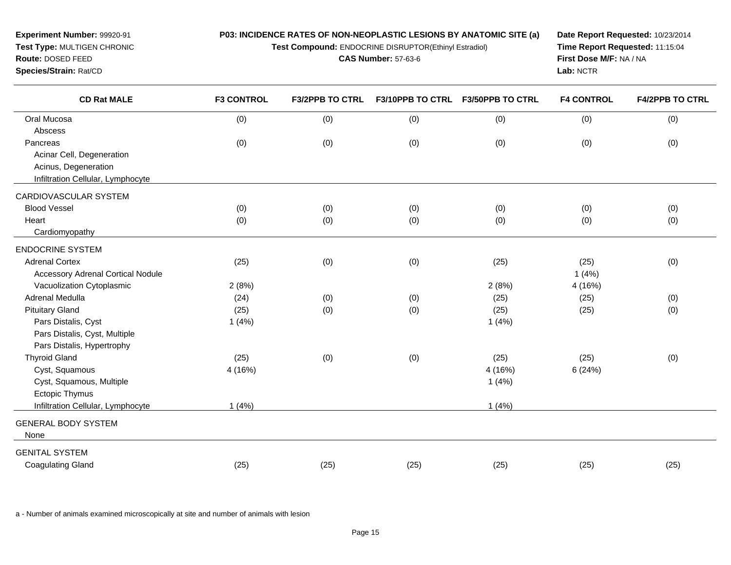**Test Compound:** ENDOCRINE DISRUPTOR(Ethinyl Estradiol)

**CAS Number:** 57-63-6

**Date Report Requested:** 10/23/2014**Time Report Requested:** 11:15:04**First Dose M/F:** NA / NA**Lab:** NCTR

| <b>CD Rat MALE</b>                       | <b>F3 CONTROL</b> | <b>F3/2PPB TO CTRL</b> | <b>F3/10PPB TO CTRL</b> | <b>F3/50PPB TO CTRL</b> | <b>F4 CONTROL</b> | <b>F4/2PPB TO CTRL</b> |
|------------------------------------------|-------------------|------------------------|-------------------------|-------------------------|-------------------|------------------------|
| Oral Mucosa                              | (0)               | (0)                    | (0)                     | (0)                     | (0)               | (0)                    |
| Abscess                                  |                   |                        |                         |                         |                   |                        |
| Pancreas                                 | (0)               | (0)                    | (0)                     | (0)                     | (0)               | (0)                    |
| Acinar Cell, Degeneration                |                   |                        |                         |                         |                   |                        |
| Acinus, Degeneration                     |                   |                        |                         |                         |                   |                        |
| Infiltration Cellular, Lymphocyte        |                   |                        |                         |                         |                   |                        |
| CARDIOVASCULAR SYSTEM                    |                   |                        |                         |                         |                   |                        |
| <b>Blood Vessel</b>                      | (0)               | (0)                    | (0)                     | (0)                     | (0)               | (0)                    |
| Heart                                    | (0)               | (0)                    | (0)                     | (0)                     | (0)               | (0)                    |
| Cardiomyopathy                           |                   |                        |                         |                         |                   |                        |
| <b>ENDOCRINE SYSTEM</b>                  |                   |                        |                         |                         |                   |                        |
| <b>Adrenal Cortex</b>                    | (25)              | (0)                    | (0)                     | (25)                    | (25)              | (0)                    |
| <b>Accessory Adrenal Cortical Nodule</b> |                   |                        |                         |                         | 1(4%)             |                        |
| Vacuolization Cytoplasmic                | 2(8%)             |                        |                         | 2(8%)                   | 4 (16%)           |                        |
| Adrenal Medulla                          | (24)              | (0)                    | (0)                     | (25)                    | (25)              | (0)                    |
| <b>Pituitary Gland</b>                   | (25)              | (0)                    | (0)                     | (25)                    | (25)              | (0)                    |
| Pars Distalis, Cyst                      | 1(4%)             |                        |                         | 1(4%)                   |                   |                        |
| Pars Distalis, Cyst, Multiple            |                   |                        |                         |                         |                   |                        |
| Pars Distalis, Hypertrophy               |                   |                        |                         |                         |                   |                        |
| <b>Thyroid Gland</b>                     | (25)              | (0)                    | (0)                     | (25)                    | (25)              | (0)                    |
| Cyst, Squamous                           | 4 (16%)           |                        |                         | 4 (16%)                 | 6(24%)            |                        |
| Cyst, Squamous, Multiple                 |                   |                        |                         | 1(4%)                   |                   |                        |
| Ectopic Thymus                           |                   |                        |                         |                         |                   |                        |
| Infiltration Cellular, Lymphocyte        | 1(4%)             |                        |                         | 1(4%)                   |                   |                        |
| <b>GENERAL BODY SYSTEM</b>               |                   |                        |                         |                         |                   |                        |
| None                                     |                   |                        |                         |                         |                   |                        |
| <b>GENITAL SYSTEM</b>                    |                   |                        |                         |                         |                   |                        |
| <b>Coagulating Gland</b>                 | (25)              | (25)                   | (25)                    | (25)                    | (25)              | (25)                   |

a - Number of animals examined microscopically at site and number of animals with lesion

**Experiment Number:** 99920-91**Test Type:** MULTIGEN CHRONIC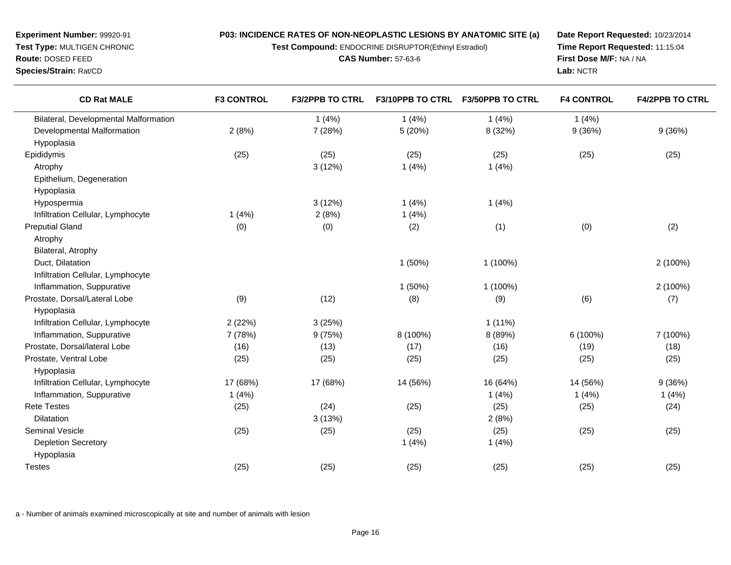**Test Compound:** ENDOCRINE DISRUPTOR(Ethinyl Estradiol)

**CAS Number:** 57-63-6

**Date Report Requested:** 10/23/2014**Time Report Requested:** 11:15:04**First Dose M/F:** NA / NA**Lab:** NCTR

| <b>CD Rat MALE</b>                    | <b>F3 CONTROL</b> | <b>F3/2PPB TO CTRL</b> | F3/10PPB TO CTRL | <b>F3/50PPB TO CTRL</b> | <b>F4 CONTROL</b> | <b>F4/2PPB TO CTRL</b> |
|---------------------------------------|-------------------|------------------------|------------------|-------------------------|-------------------|------------------------|
| Bilateral, Developmental Malformation |                   | 1(4%)                  | 1(4%)            | 1(4%)                   | 1(4%)             |                        |
| Developmental Malformation            | 2(8%)             | 7 (28%)                | 5 (20%)          | 8 (32%)                 | 9(36%)            | 9(36%)                 |
| Hypoplasia                            |                   |                        |                  |                         |                   |                        |
| Epididymis                            | (25)              | (25)                   | (25)             | (25)                    | (25)              | (25)                   |
| Atrophy                               |                   | 3(12%)                 | 1(4%)            | 1(4%)                   |                   |                        |
| Epithelium, Degeneration              |                   |                        |                  |                         |                   |                        |
| Hypoplasia                            |                   |                        |                  |                         |                   |                        |
| Hypospermia                           |                   | 3(12%)                 | 1(4%)            | 1(4%)                   |                   |                        |
| Infiltration Cellular, Lymphocyte     | 1(4%)             | 2(8%)                  | 1(4%)            |                         |                   |                        |
| <b>Preputial Gland</b>                | (0)               | (0)                    | (2)              | (1)                     | (0)               | (2)                    |
| Atrophy                               |                   |                        |                  |                         |                   |                        |
| Bilateral, Atrophy                    |                   |                        |                  |                         |                   |                        |
| Duct, Dilatation                      |                   |                        | 1(50%)           | 1 (100%)                |                   | 2 (100%)               |
| Infiltration Cellular, Lymphocyte     |                   |                        |                  |                         |                   |                        |
| Inflammation, Suppurative             |                   |                        | 1(50%)           | 1 (100%)                |                   | 2 (100%)               |
| Prostate, Dorsal/Lateral Lobe         | (9)               | (12)                   | (8)              | (9)                     | (6)               | (7)                    |
| Hypoplasia                            |                   |                        |                  |                         |                   |                        |
| Infiltration Cellular, Lymphocyte     | 2(22%)            | 3(25%)                 |                  | $1(11\%)$               |                   |                        |
| Inflammation, Suppurative             | 7 (78%)           | 9(75%)                 | 8 (100%)         | 8 (89%)                 | 6 (100%)          | 7 (100%)               |
| Prostate, Dorsal/lateral Lobe         | (16)              | (13)                   | (17)             | (16)                    | (19)              | (18)                   |
| Prostate, Ventral Lobe                | (25)              | (25)                   | (25)             | (25)                    | (25)              | (25)                   |
| Hypoplasia                            |                   |                        |                  |                         |                   |                        |
| Infiltration Cellular, Lymphocyte     | 17 (68%)          | 17 (68%)               | 14 (56%)         | 16 (64%)                | 14 (56%)          | 9(36%)                 |
| Inflammation, Suppurative             | 1(4%)             |                        |                  | 1(4%)                   | 1(4%)             | 1(4%)                  |
| <b>Rete Testes</b>                    | (25)              | (24)                   | (25)             | (25)                    | (25)              | (24)                   |
| Dilatation                            |                   | 3(13%)                 |                  | 2(8%)                   |                   |                        |
| <b>Seminal Vesicle</b>                | (25)              | (25)                   | (25)             | (25)                    | (25)              | (25)                   |
| <b>Depletion Secretory</b>            |                   |                        | 1(4%)            | 1(4%)                   |                   |                        |
| Hypoplasia                            |                   |                        |                  |                         |                   |                        |
| <b>Testes</b>                         | (25)              | (25)                   | (25)             | (25)                    | (25)              | (25)                   |

a - Number of animals examined microscopically at site and number of animals with lesion

**Experiment Number:** 99920-91**Test Type:** MULTIGEN CHRONIC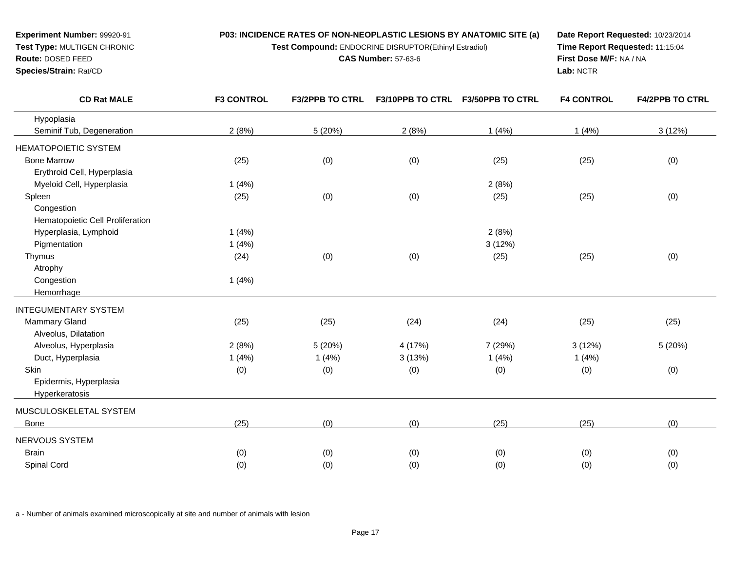| Experiment Number: 99920-91<br>Test Type: MULTIGEN CHRONIC<br>Route: DOSED FEED<br>Species/Strain: Rat/CD | P03: INCIDENCE RATES OF NON-NEOPLASTIC LESIONS BY ANATOMIC SITE (a)<br>Test Compound: ENDOCRINE DISRUPTOR(Ethinyl Estradiol)<br><b>CAS Number: 57-63-6</b> |                        |                         |                         | Date Report Requested: 10/23/2014<br>Time Report Requested: 11:15:04<br>First Dose M/F: NA / NA<br>Lab: NCTR |                        |
|-----------------------------------------------------------------------------------------------------------|------------------------------------------------------------------------------------------------------------------------------------------------------------|------------------------|-------------------------|-------------------------|--------------------------------------------------------------------------------------------------------------|------------------------|
| <b>CD Rat MALE</b>                                                                                        | <b>F3 CONTROL</b>                                                                                                                                          | <b>F3/2PPB TO CTRL</b> | <b>F3/10PPB TO CTRL</b> | <b>F3/50PPB TO CTRL</b> | <b>F4 CONTROL</b>                                                                                            | <b>F4/2PPB TO CTRL</b> |
| Hypoplasia                                                                                                |                                                                                                                                                            |                        |                         |                         |                                                                                                              |                        |
| Seminif Tub, Degeneration                                                                                 | 2(8%)                                                                                                                                                      | 5(20%)                 | 2(8%)                   | 1(4%)                   | 1(4%)                                                                                                        | 3(12%)                 |
| <b>HEMATOPOIETIC SYSTEM</b>                                                                               |                                                                                                                                                            |                        |                         |                         |                                                                                                              |                        |
| <b>Bone Marrow</b>                                                                                        | (25)                                                                                                                                                       | (0)                    | (0)                     | (25)                    | (25)                                                                                                         | (0)                    |
| Erythroid Cell, Hyperplasia                                                                               |                                                                                                                                                            |                        |                         |                         |                                                                                                              |                        |
| Myeloid Cell, Hyperplasia                                                                                 | 1(4%)                                                                                                                                                      |                        |                         | 2(8%)                   |                                                                                                              |                        |
| Spleen                                                                                                    | (25)                                                                                                                                                       | (0)                    | (0)                     | (25)                    | (25)                                                                                                         | (0)                    |
| Congestion                                                                                                |                                                                                                                                                            |                        |                         |                         |                                                                                                              |                        |
| Hematopoietic Cell Proliferation                                                                          |                                                                                                                                                            |                        |                         |                         |                                                                                                              |                        |
| Hyperplasia, Lymphoid                                                                                     | 1(4%)                                                                                                                                                      |                        |                         | 2(8%)                   |                                                                                                              |                        |
| Pigmentation                                                                                              | 1(4%)                                                                                                                                                      |                        |                         | 3(12%)                  |                                                                                                              |                        |
| Thymus                                                                                                    | (24)                                                                                                                                                       | (0)                    | (0)                     | (25)                    | (25)                                                                                                         | (0)                    |
| Atrophy                                                                                                   |                                                                                                                                                            |                        |                         |                         |                                                                                                              |                        |
| Congestion                                                                                                | 1(4%)                                                                                                                                                      |                        |                         |                         |                                                                                                              |                        |
| Hemorrhage                                                                                                |                                                                                                                                                            |                        |                         |                         |                                                                                                              |                        |
| <b>INTEGUMENTARY SYSTEM</b>                                                                               |                                                                                                                                                            |                        |                         |                         |                                                                                                              |                        |
| Mammary Gland                                                                                             | (25)                                                                                                                                                       | (25)                   | (24)                    | (24)                    | (25)                                                                                                         | (25)                   |
| Alveolus, Dilatation                                                                                      |                                                                                                                                                            |                        |                         |                         |                                                                                                              |                        |
| Alveolus, Hyperplasia                                                                                     | 2(8%)                                                                                                                                                      | 5(20%)                 | 4 (17%)                 | 7 (29%)                 | 3(12%)                                                                                                       | 5(20%)                 |
| Duct, Hyperplasia                                                                                         | 1(4%)                                                                                                                                                      | 1(4%)                  | 3(13%)                  | 1(4%)                   | 1(4%)                                                                                                        |                        |
| Skin                                                                                                      | (0)                                                                                                                                                        | (0)                    | (0)                     | (0)                     | (0)                                                                                                          | (0)                    |
| Epidermis, Hyperplasia                                                                                    |                                                                                                                                                            |                        |                         |                         |                                                                                                              |                        |

MUSCULOSKELETAL SYSTEM

Hyperkeratosis

Bonee (25) (0) (0) (25) (25) (0) (25) (25) (25) NERVOUS SYSTEMBrain (0) (0) (0) (0) (0) (0) Spinal Cord(0) (0) (0) (0) (0) (0)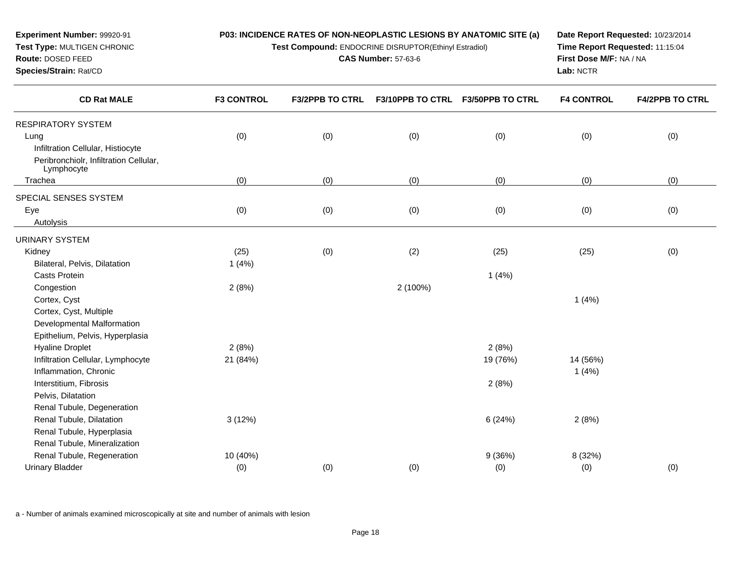**Experiment Number:** 99920-91**P03: INCIDENCE RATES OF NON-NEOPLASTIC LESIONS BY ANATOMIC SITE (a)**

**Test Compound:** ENDOCRINE DISRUPTOR(Ethinyl Estradiol)

**CAS Number:** 57-63-6

**Date Report Requested:** 10/23/2014**Time Report Requested:** 11:15:04**First Dose M/F:** NA / NA**Lab:** NCTR

| <b>CD Rat MALE</b>                     | <b>F3 CONTROL</b> | <b>F3/2PPB TO CTRL</b> | <b>F3/10PPB TO CTRL</b> | <b>F3/50PPB TO CTRL</b> | <b>F4 CONTROL</b> | <b>F4/2PPB TO CTRL</b> |
|----------------------------------------|-------------------|------------------------|-------------------------|-------------------------|-------------------|------------------------|
| <b>RESPIRATORY SYSTEM</b>              |                   |                        |                         |                         |                   |                        |
| Lung                                   | (0)               | (0)                    | (0)                     | (0)                     | (0)               | (0)                    |
| Infiltration Cellular, Histiocyte      |                   |                        |                         |                         |                   |                        |
| Peribronchiolr, Infiltration Cellular, |                   |                        |                         |                         |                   |                        |
| Lymphocyte                             |                   |                        |                         |                         |                   |                        |
| Trachea                                | (0)               | (0)                    | (0)                     | (0)                     | (0)               | (0)                    |
| SPECIAL SENSES SYSTEM                  |                   |                        |                         |                         |                   |                        |
| Eye                                    | (0)               | (0)                    | (0)                     | (0)                     | (0)               | (0)                    |
| Autolysis                              |                   |                        |                         |                         |                   |                        |
| <b>URINARY SYSTEM</b>                  |                   |                        |                         |                         |                   |                        |
| Kidney                                 | (25)              | (0)                    | (2)                     | (25)                    | (25)              | (0)                    |
| Bilateral, Pelvis, Dilatation          | 1(4%)             |                        |                         |                         |                   |                        |
| Casts Protein                          |                   |                        |                         | 1(4%)                   |                   |                        |
| Congestion                             | 2(8%)             |                        | 2 (100%)                |                         |                   |                        |
| Cortex, Cyst                           |                   |                        |                         |                         | 1(4%)             |                        |
| Cortex, Cyst, Multiple                 |                   |                        |                         |                         |                   |                        |
| Developmental Malformation             |                   |                        |                         |                         |                   |                        |
| Epithelium, Pelvis, Hyperplasia        |                   |                        |                         |                         |                   |                        |
| <b>Hyaline Droplet</b>                 | 2(8%)             |                        |                         | 2(8%)                   |                   |                        |
| Infiltration Cellular, Lymphocyte      | 21 (84%)          |                        |                         | 19 (76%)                | 14 (56%)          |                        |
| Inflammation, Chronic                  |                   |                        |                         |                         | 1(4%)             |                        |
| Interstitium, Fibrosis                 |                   |                        |                         | 2(8%)                   |                   |                        |
| Pelvis, Dilatation                     |                   |                        |                         |                         |                   |                        |
| Renal Tubule, Degeneration             |                   |                        |                         |                         |                   |                        |
| Renal Tubule, Dilatation               | 3(12%)            |                        |                         | 6(24%)                  | 2(8%)             |                        |
| Renal Tubule, Hyperplasia              |                   |                        |                         |                         |                   |                        |
| Renal Tubule, Mineralization           |                   |                        |                         |                         |                   |                        |
| Renal Tubule, Regeneration             | 10 (40%)          |                        |                         | 9(36%)                  | 8 (32%)           |                        |
| <b>Urinary Bladder</b>                 | (0)               | (0)                    | (0)                     | (0)                     | (0)               | (0)                    |

a - Number of animals examined microscopically at site and number of animals with lesion

**Test Type:** MULTIGEN CHRONIC

**Route:** DOSED FEED**Species/Strain:** Rat/CD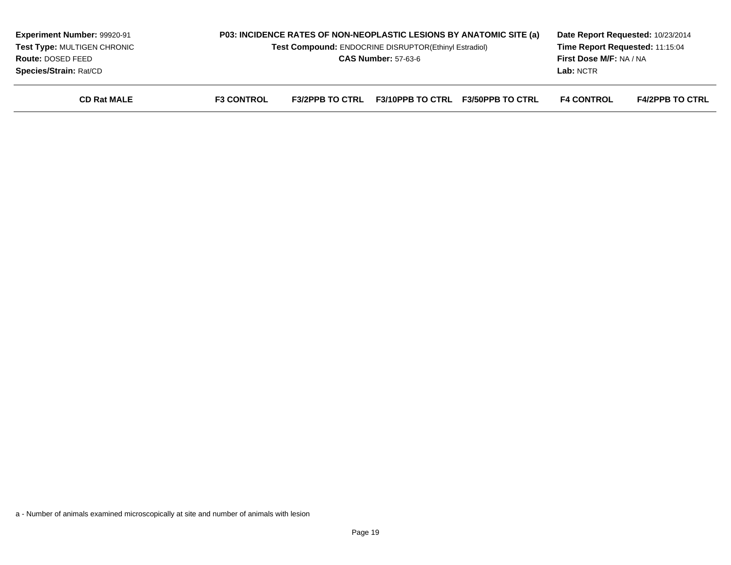| <b>Experiment Number: 99920-91</b><br>Test Type: MULTIGEN CHRONIC<br>Route: DOSED FEED<br>Species/Strain: Rat/CD |                   | P03: INCIDENCE RATES OF NON-NEOPLASTIC LESIONS BY ANATOMIC SITE (a)<br>Test Compound: ENDOCRINE DISRUPTOR(Ethinyl Estradiol)<br><b>CAS Number: 57-63-6</b> |                         |                         | Date Report Requested: 10/23/2014<br>Time Report Requested: 11:15:04<br><b>First Dose M/F: NA / NA</b><br>Lab: NCTR |                        |
|------------------------------------------------------------------------------------------------------------------|-------------------|------------------------------------------------------------------------------------------------------------------------------------------------------------|-------------------------|-------------------------|---------------------------------------------------------------------------------------------------------------------|------------------------|
| <b>CD Rat MALE</b>                                                                                               | <b>F3 CONTROL</b> | <b>F3/2PPB TO CTRL</b>                                                                                                                                     | <b>F3/10PPB TO CTRL</b> | <b>F3/50PPB TO CTRL</b> | <b>F4 CONTROL</b>                                                                                                   | <b>F4/2PPB TO CTRL</b> |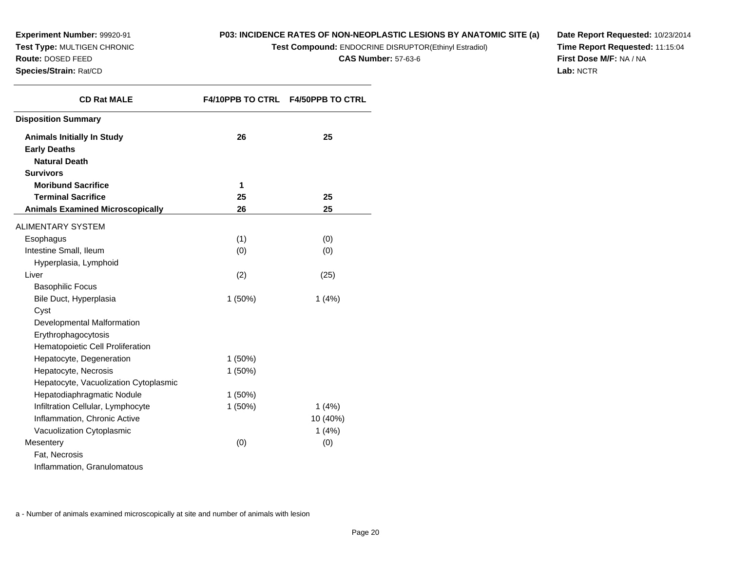**Experiment Number:** 99920-91 **Test Type:** MULTIGEN CHRONIC**Route:** DOSED FEED

#### **Species/Strain:** Rat/CD

## **P03: INCIDENCE RATES OF NON-NEOPLASTIC LESIONS BY ANATOMIC SITE (a)**

**Test Compound:** ENDOCRINE DISRUPTOR(Ethinyl Estradiol)

**CAS Number:** 57-63-6

**Date Report Requested:** 10/23/2014**Time Report Requested:** 11:15:04**First Dose M/F:** NA / NA**Lab:** NCTR

| <b>CD Rat MALE</b>                      |           | F4/10PPB TO CTRL F4/50PPB TO CTRL |
|-----------------------------------------|-----------|-----------------------------------|
| <b>Disposition Summary</b>              |           |                                   |
| <b>Animals Initially In Study</b>       | 26        | 25                                |
| <b>Early Deaths</b>                     |           |                                   |
| <b>Natural Death</b>                    |           |                                   |
| <b>Survivors</b>                        |           |                                   |
| <b>Moribund Sacrifice</b>               | 1         |                                   |
| <b>Terminal Sacrifice</b>               | 25        | 25                                |
| <b>Animals Examined Microscopically</b> | 26        | 25                                |
| <b>ALIMENTARY SYSTEM</b>                |           |                                   |
| Esophagus                               | (1)       | (0)                               |
| Intestine Small, Ileum                  | (0)       | (0)                               |
| Hyperplasia, Lymphoid                   |           |                                   |
| Liver                                   | (2)       | (25)                              |
| <b>Basophilic Focus</b>                 |           |                                   |
| Bile Duct, Hyperplasia                  | 1(50%)    | 1(4%)                             |
| Cyst                                    |           |                                   |
| Developmental Malformation              |           |                                   |
| Erythrophagocytosis                     |           |                                   |
| Hematopoietic Cell Proliferation        |           |                                   |
| Hepatocyte, Degeneration                | $1(50\%)$ |                                   |
| Hepatocyte, Necrosis                    | 1(50%)    |                                   |
| Hepatocyte, Vacuolization Cytoplasmic   |           |                                   |
| Hepatodiaphragmatic Nodule              | $1(50\%)$ |                                   |
| Infiltration Cellular, Lymphocyte       | 1(50%)    | 1(4%)                             |
| Inflammation, Chronic Active            |           | 10 (40%)                          |
| Vacuolization Cytoplasmic               |           | 1(4%)                             |
| Mesentery                               | (0)       | (0)                               |
| Fat, Necrosis                           |           |                                   |
| Inflammation, Granulomatous             |           |                                   |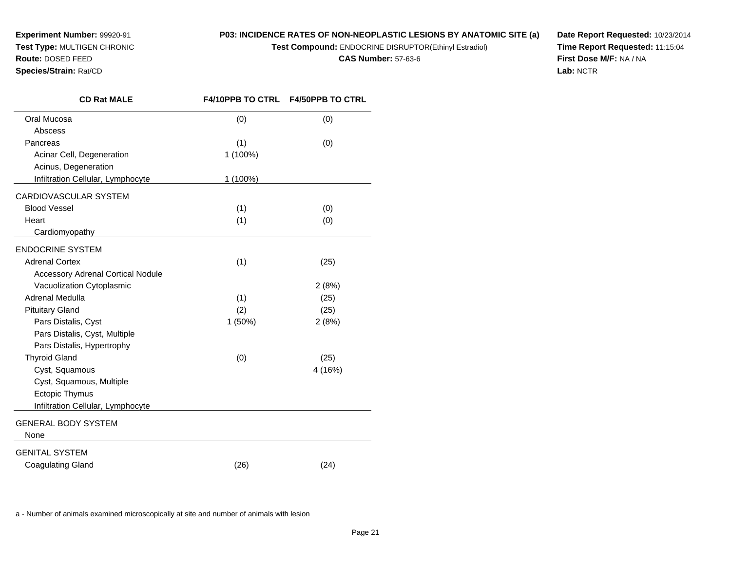**Experiment Number:** 99920-91 **Test Type:** MULTIGEN CHRONIC**Route:** DOSED FEED

**Species/Strain:** Rat/CD

# **P03: INCIDENCE RATES OF NON-NEOPLASTIC LESIONS BY ANATOMIC SITE (a)**

**Test Compound:** ENDOCRINE DISRUPTOR(Ethinyl Estradiol)

**CAS Number:** 57-63-6

**Date Report Requested:** 10/23/2014**Time Report Requested:** 11:15:04**First Dose M/F:** NA / NA**Lab:** NCTR

| <b>CD Rat MALE</b>                       |          | F4/10PPB TO CTRL F4/50PPB TO CTRL |
|------------------------------------------|----------|-----------------------------------|
| Oral Mucosa                              | (0)      | (0)                               |
| Abscess                                  |          |                                   |
| Pancreas                                 | (1)      | (0)                               |
| Acinar Cell, Degeneration                | 1 (100%) |                                   |
| Acinus, Degeneration                     |          |                                   |
| Infiltration Cellular, Lymphocyte        | 1 (100%) |                                   |
| CARDIOVASCULAR SYSTEM                    |          |                                   |
| <b>Blood Vessel</b>                      | (1)      | (0)                               |
| Heart                                    | (1)      | (0)                               |
| Cardiomyopathy                           |          |                                   |
| <b>ENDOCRINE SYSTEM</b>                  |          |                                   |
| <b>Adrenal Cortex</b>                    | (1)      | (25)                              |
| <b>Accessory Adrenal Cortical Nodule</b> |          |                                   |
| Vacuolization Cytoplasmic                |          | 2(8%)                             |
| Adrenal Medulla                          | (1)      | (25)                              |
| <b>Pituitary Gland</b>                   | (2)      | (25)                              |
| Pars Distalis, Cyst                      | 1 (50%)  | 2(8%)                             |
| Pars Distalis, Cyst, Multiple            |          |                                   |
| Pars Distalis, Hypertrophy               |          |                                   |
| <b>Thyroid Gland</b>                     | (0)      | (25)                              |
| Cyst, Squamous                           |          | 4 (16%)                           |
| Cyst, Squamous, Multiple                 |          |                                   |
| Ectopic Thymus                           |          |                                   |
| Infiltration Cellular, Lymphocyte        |          |                                   |
| <b>GENERAL BODY SYSTEM</b>               |          |                                   |
| None                                     |          |                                   |
| <b>GENITAL SYSTEM</b>                    |          |                                   |
| <b>Coagulating Gland</b>                 | (26)     | (24)                              |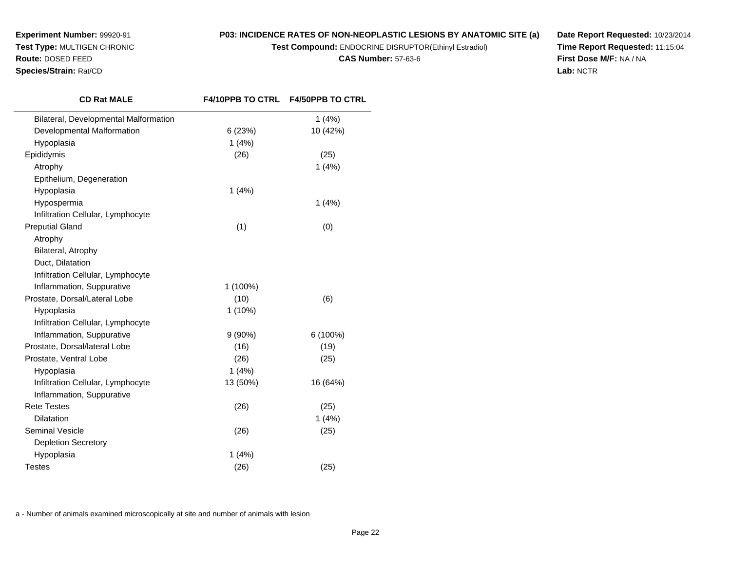## **P03: INCIDENCE RATES OF NON-NEOPLASTIC LESIONS BY ANATOMIC SITE (a)**

**Test Compound:** ENDOCRINE DISRUPTOR(Ethinyl Estradiol)

**CAS Number:** 57-63-6

**Date Report Requested:** 10/23/2014**Time Report Requested:** 11:15:04**First Dose M/F:** NA / NA**Lab:** NCTR

| <b>CD Rat MALE</b>                    |           | F4/10PPB TO CTRL F4/50PPB TO CTRL |
|---------------------------------------|-----------|-----------------------------------|
| Bilateral, Developmental Malformation |           | 1(4%)                             |
| Developmental Malformation            | 6(23%)    | 10 (42%)                          |
| Hypoplasia                            | 1(4%)     |                                   |
| Epididymis                            | (26)      | (25)                              |
| Atrophy                               |           | 1(4%)                             |
| Epithelium, Degeneration              |           |                                   |
| Hypoplasia                            | 1(4%)     |                                   |
| Hypospermia                           |           | 1(4%)                             |
| Infiltration Cellular, Lymphocyte     |           |                                   |
| <b>Preputial Gland</b>                | (1)       | (0)                               |
| Atrophy                               |           |                                   |
| Bilateral, Atrophy                    |           |                                   |
| Duct, Dilatation                      |           |                                   |
| Infiltration Cellular, Lymphocyte     |           |                                   |
| Inflammation, Suppurative             | 1 (100%)  |                                   |
| Prostate, Dorsal/Lateral Lobe         | (10)      | (6)                               |
| Hypoplasia                            | $1(10\%)$ |                                   |
| Infiltration Cellular, Lymphocyte     |           |                                   |
| Inflammation, Suppurative             | $9(90\%)$ | 6 (100%)                          |
| Prostate, Dorsal/lateral Lobe         | (16)      | (19)                              |
| Prostate, Ventral Lobe                | (26)      | (25)                              |
| Hypoplasia                            | 1(4%)     |                                   |
| Infiltration Cellular, Lymphocyte     | 13 (50%)  | 16 (64%)                          |
| Inflammation, Suppurative             |           |                                   |
| <b>Rete Testes</b>                    | (26)      | (25)                              |
| Dilatation                            |           | 1(4%)                             |
| <b>Seminal Vesicle</b>                | (26)      | (25)                              |
| <b>Depletion Secretory</b>            |           |                                   |
| Hypoplasia                            | 1(4%)     |                                   |
| <b>Testes</b>                         | (26)      | (25)                              |
|                                       |           |                                   |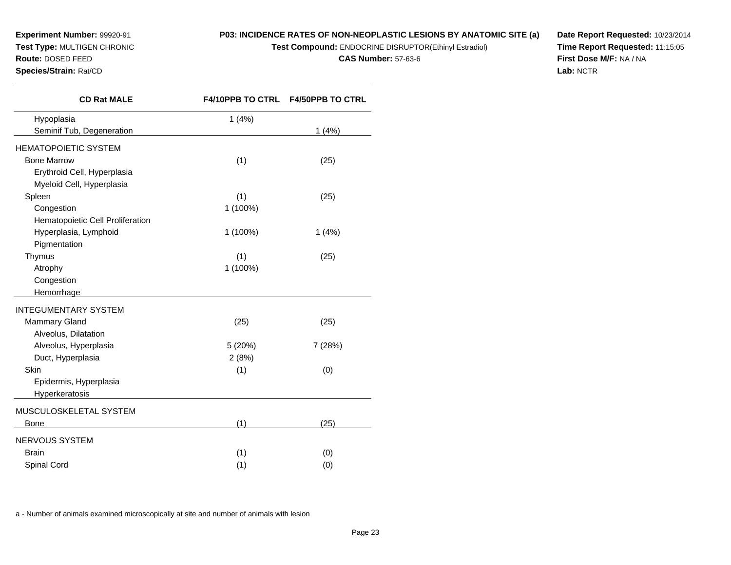## **P03: INCIDENCE RATES OF NON-NEOPLASTIC LESIONS BY ANATOMIC SITE (a)**

**Test Compound:** ENDOCRINE DISRUPTOR(Ethinyl Estradiol)

**CAS Number:** 57-63-6

**Date Report Requested:** 10/23/2014**Time Report Requested:** 11:15:05**First Dose M/F:** NA / NA**Lab:** NCTR

| <b>CD Rat MALE</b>               |            | F4/10PPB TO CTRL F4/50PPB TO CTRL |
|----------------------------------|------------|-----------------------------------|
| Hypoplasia                       | 1(4%)      |                                   |
| Seminif Tub, Degeneration        |            | 1(4%)                             |
| <b>HEMATOPOIETIC SYSTEM</b>      |            |                                   |
| <b>Bone Marrow</b>               | (1)        | (25)                              |
| Erythroid Cell, Hyperplasia      |            |                                   |
| Myeloid Cell, Hyperplasia        |            |                                   |
| Spleen                           | (1)        | (25)                              |
| Congestion                       | 1 (100%)   |                                   |
| Hematopoietic Cell Proliferation |            |                                   |
| Hyperplasia, Lymphoid            | $1(100\%)$ | 1(4%)                             |
| Pigmentation                     |            |                                   |
| Thymus                           | (1)        | (25)                              |
| Atrophy                          | 1 (100%)   |                                   |
| Congestion                       |            |                                   |
| Hemorrhage                       |            |                                   |
| <b>INTEGUMENTARY SYSTEM</b>      |            |                                   |
| <b>Mammary Gland</b>             | (25)       | (25)                              |
| Alveolus, Dilatation             |            |                                   |
| Alveolus, Hyperplasia            | 5 (20%)    | 7 (28%)                           |
| Duct, Hyperplasia                | 2(8%)      |                                   |
| Skin                             | (1)        | (0)                               |
| Epidermis, Hyperplasia           |            |                                   |
| Hyperkeratosis                   |            |                                   |
| MUSCULOSKELETAL SYSTEM           |            |                                   |
| Bone                             | (1)        | (25)                              |
| <b>NERVOUS SYSTEM</b>            |            |                                   |
| <b>Brain</b>                     | (1)        | (0)                               |
| Spinal Cord                      | (1)        | (0)                               |
|                                  |            |                                   |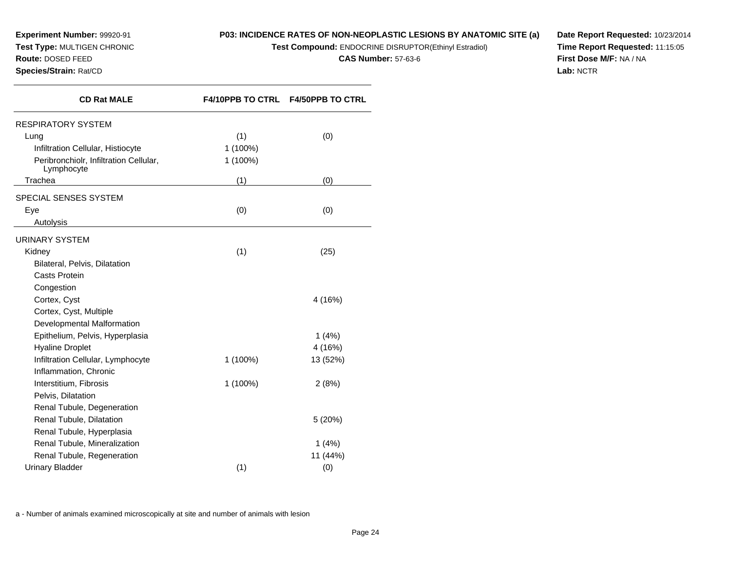# **P03: INCIDENCE RATES OF NON-NEOPLASTIC LESIONS BY ANATOMIC SITE (a)**

**Test Compound:** ENDOCRINE DISRUPTOR(Ethinyl Estradiol)

**CAS Number:** 57-63-6

**Date Report Requested:** 10/23/2014**Time Report Requested:** 11:15:05**First Dose M/F:** NA / NA**Lab:** NCTR

| <b>CD Rat MALE</b>                                   |          | F4/10PPB TO CTRL F4/50PPB TO CTRL |
|------------------------------------------------------|----------|-----------------------------------|
| <b>RESPIRATORY SYSTEM</b>                            |          |                                   |
| Lung                                                 | (1)      | (0)                               |
| Infiltration Cellular, Histiocyte                    | 1 (100%) |                                   |
| Peribronchiolr, Infiltration Cellular,<br>Lymphocyte | 1 (100%) |                                   |
| Trachea                                              | (1)      | (0)                               |
| SPECIAL SENSES SYSTEM                                |          |                                   |
| Eye                                                  | (0)      | (0)                               |
| Autolysis                                            |          |                                   |
| <b>URINARY SYSTEM</b>                                |          |                                   |
| Kidney                                               | (1)      | (25)                              |
| Bilateral, Pelvis, Dilatation                        |          |                                   |
| Casts Protein                                        |          |                                   |
| Congestion                                           |          |                                   |
| Cortex, Cyst                                         |          | 4 (16%)                           |
| Cortex, Cyst, Multiple                               |          |                                   |
| Developmental Malformation                           |          |                                   |
| Epithelium, Pelvis, Hyperplasia                      |          | 1(4%)                             |
| <b>Hyaline Droplet</b>                               |          | 4 (16%)                           |
| Infiltration Cellular, Lymphocyte                    | 1 (100%) | 13 (52%)                          |
| Inflammation, Chronic                                |          |                                   |
| Interstitium, Fibrosis                               | 1 (100%) | 2(8%)                             |
| Pelvis, Dilatation                                   |          |                                   |
| Renal Tubule, Degeneration                           |          |                                   |
| Renal Tubule, Dilatation                             |          | 5(20%)                            |
| Renal Tubule, Hyperplasia                            |          |                                   |
| Renal Tubule, Mineralization                         |          | 1(4%)                             |
| Renal Tubule, Regeneration                           |          | 11 (44%)                          |
| <b>Urinary Bladder</b>                               | (1)      | (0)                               |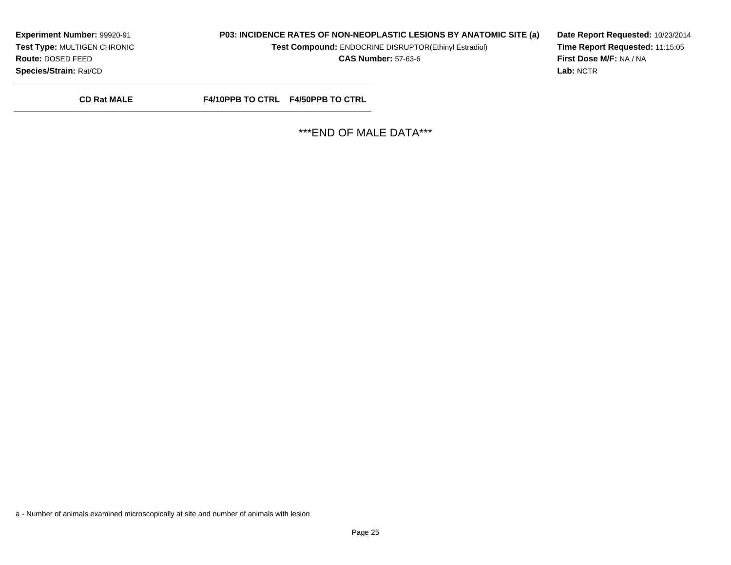## **P03: INCIDENCE RATES OF NON-NEOPLASTIC LESIONS BY ANATOMIC SITE (a)**

**Test Compound:** ENDOCRINE DISRUPTOR(Ethinyl Estradiol)

**CAS Number:** 57-63-6

**Date Report Requested:** 10/23/2014**Time Report Requested:** 11:15:05**First Dose M/F:** NA / NA**Lab:** NCTR

**CD Rat MALE**

**F4/10PPB TO CTRL F4/50PPB TO CTRL**

\*\*\*END OF MALE DATA\*\*\*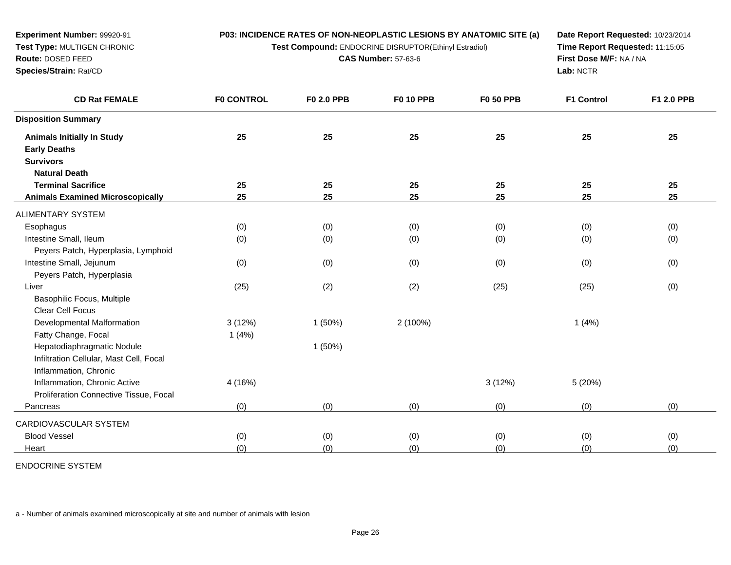**Test Compound:** ENDOCRINE DISRUPTOR(Ethinyl Estradiol)

**CAS Number:** 57-63-6

**Date Report Requested:** 10/23/2014**Time Report Requested:** 11:15:05**First Dose M/F:** NA / NA**Lab:** NCTR

| <b>CD Rat FEMALE</b>                    | <b>F0 CONTROL</b> | F0 2.0 PPB | <b>F0 10 PPB</b> | <b>F0 50 PPB</b> | <b>F1 Control</b> | F1 2.0 PPB |
|-----------------------------------------|-------------------|------------|------------------|------------------|-------------------|------------|
| <b>Disposition Summary</b>              |                   |            |                  |                  |                   |            |
| <b>Animals Initially In Study</b>       | 25                | 25         | 25               | 25               | 25                | 25         |
| <b>Early Deaths</b>                     |                   |            |                  |                  |                   |            |
| <b>Survivors</b>                        |                   |            |                  |                  |                   |            |
| <b>Natural Death</b>                    |                   |            |                  |                  |                   |            |
| <b>Terminal Sacrifice</b>               | 25                | 25         | 25               | 25               | 25                | 25         |
| <b>Animals Examined Microscopically</b> | 25                | 25         | 25               | 25               | 25                | 25         |
| ALIMENTARY SYSTEM                       |                   |            |                  |                  |                   |            |
| Esophagus                               | (0)               | (0)        | (0)              | (0)              | (0)               | (0)        |
| Intestine Small, Ileum                  | (0)               | (0)        | (0)              | (0)              | (0)               | (0)        |
| Peyers Patch, Hyperplasia, Lymphoid     |                   |            |                  |                  |                   |            |
| Intestine Small, Jejunum                | (0)               | (0)        | (0)              | (0)              | (0)               | (0)        |
| Peyers Patch, Hyperplasia               |                   |            |                  |                  |                   |            |
| Liver                                   | (25)              | (2)        | (2)              | (25)             | (25)              | (0)        |
| Basophilic Focus, Multiple              |                   |            |                  |                  |                   |            |
| <b>Clear Cell Focus</b>                 |                   |            |                  |                  |                   |            |
| Developmental Malformation              | 3(12%)            | 1(50%)     | 2 (100%)         |                  | 1(4%)             |            |
| Fatty Change, Focal                     | 1(4%)             |            |                  |                  |                   |            |
| Hepatodiaphragmatic Nodule              |                   | 1(50%)     |                  |                  |                   |            |
| Infiltration Cellular, Mast Cell, Focal |                   |            |                  |                  |                   |            |
| Inflammation, Chronic                   |                   |            |                  |                  |                   |            |
| Inflammation, Chronic Active            | 4 (16%)           |            |                  | 3(12%)           | 5 (20%)           |            |
| Proliferation Connective Tissue, Focal  |                   |            |                  |                  |                   |            |
| Pancreas                                | (0)               | (0)        | (0)              | (0)              | (0)               | (0)        |
| CARDIOVASCULAR SYSTEM                   |                   |            |                  |                  |                   |            |
| <b>Blood Vessel</b>                     | (0)               | (0)        | (0)              | (0)              | (0)               | (0)        |
| Heart                                   | (0)               | (0)        | (0)              | (0)              | (0)               | (0)        |

ENDOCRINE SYSTEM

**Experiment Number:** 99920-91**Test Type:** MULTIGEN CHRONIC

**Route:** DOSED FEED**Species/Strain:** Rat/CD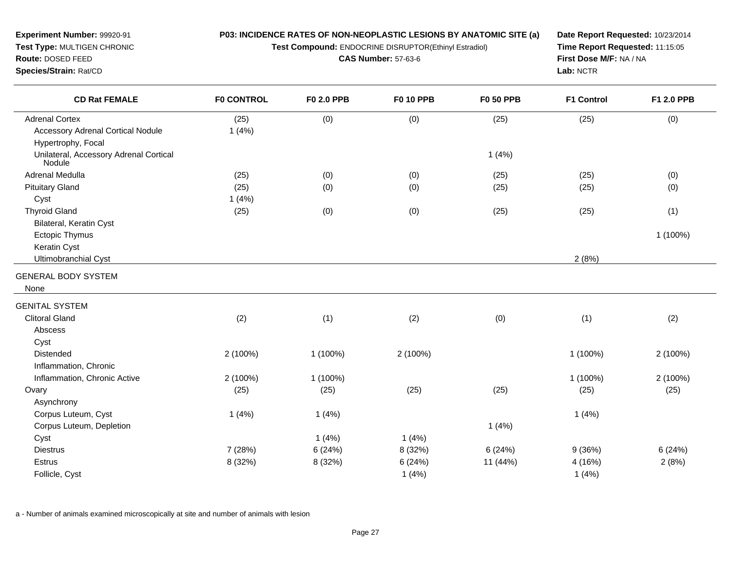**Test Compound:** ENDOCRINE DISRUPTOR(Ethinyl Estradiol)

**CAS Number:** 57-63-6

**Date Report Requested:** 10/23/2014**Time Report Requested:** 11:15:05**First Dose M/F:** NA / NA**Lab:** NCTR

| <b>CD Rat FEMALE</b>                             | <b>F0 CONTROL</b> | F0 2.0 PPB | <b>F0 10 PPB</b> | <b>F0 50 PPB</b> | F1 Control | F1 2.0 PPB |
|--------------------------------------------------|-------------------|------------|------------------|------------------|------------|------------|
| <b>Adrenal Cortex</b>                            | (25)              | (0)        | (0)              | (25)             | (25)       | (0)        |
| <b>Accessory Adrenal Cortical Nodule</b>         | 1(4%)             |            |                  |                  |            |            |
| Hypertrophy, Focal                               |                   |            |                  |                  |            |            |
| Unilateral, Accessory Adrenal Cortical<br>Nodule |                   |            |                  | 1(4%)            |            |            |
| Adrenal Medulla                                  | (25)              | (0)        | (0)              | (25)             | (25)       | (0)        |
| <b>Pituitary Gland</b>                           | (25)              | (0)        | (0)              | (25)             | (25)       | (0)        |
| Cyst                                             | 1(4%)             |            |                  |                  |            |            |
| <b>Thyroid Gland</b>                             | (25)              | (0)        | (0)              | (25)             | (25)       | (1)        |
| Bilateral, Keratin Cyst                          |                   |            |                  |                  |            |            |
| <b>Ectopic Thymus</b>                            |                   |            |                  |                  |            | 1 (100%)   |
| Keratin Cyst                                     |                   |            |                  |                  |            |            |
| <b>Ultimobranchial Cyst</b>                      |                   |            |                  |                  | 2(8%)      |            |
| <b>GENERAL BODY SYSTEM</b>                       |                   |            |                  |                  |            |            |
| None                                             |                   |            |                  |                  |            |            |
| <b>GENITAL SYSTEM</b>                            |                   |            |                  |                  |            |            |
| <b>Clitoral Gland</b>                            | (2)               | (1)        | (2)              | (0)              | (1)        | (2)        |
| Abscess                                          |                   |            |                  |                  |            |            |
| Cyst                                             |                   |            |                  |                  |            |            |
| <b>Distended</b>                                 | 2 (100%)          | 1 (100%)   | 2 (100%)         |                  | 1 (100%)   | 2 (100%)   |
| Inflammation, Chronic                            |                   |            |                  |                  |            |            |
| Inflammation, Chronic Active                     | 2 (100%)          | 1 (100%)   |                  |                  | 1 (100%)   | 2 (100%)   |
| Ovary                                            | (25)              | (25)       | (25)             | (25)             | (25)       | (25)       |
| Asynchrony                                       |                   |            |                  |                  |            |            |
| Corpus Luteum, Cyst                              | 1(4%)             | 1(4%)      |                  |                  | 1(4%)      |            |
| Corpus Luteum, Depletion                         |                   |            |                  | 1(4%)            |            |            |
| Cyst                                             |                   | 1(4%)      | 1(4%)            |                  |            |            |
| <b>Diestrus</b>                                  | 7 (28%)           | 6(24%)     | 8 (32%)          | 6(24%)           | 9(36%)     | 6(24%)     |
| <b>Estrus</b>                                    | 8 (32%)           | 8 (32%)    | 6(24%)           | 11 (44%)         | 4 (16%)    | 2(8%)      |
| Follicle, Cyst                                   |                   |            | 1(4%)            |                  | 1(4%)      |            |

a - Number of animals examined microscopically at site and number of animals with lesion

**Experiment Number:** 99920-91**Test Type:** MULTIGEN CHRONIC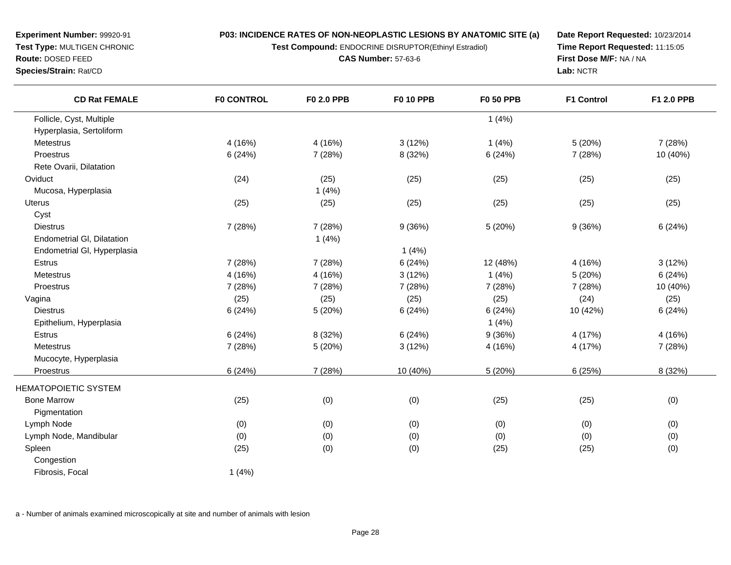**Test Compound:** ENDOCRINE DISRUPTOR(Ethinyl Estradiol)

**CAS Number:** 57-63-6

**Date Report Requested:** 10/23/2014**Time Report Requested:** 11:15:05**First Dose M/F:** NA / NA**Lab:** NCTR

| <b>CD Rat FEMALE</b>        | <b>F0 CONTROL</b> | <b>F0 2.0 PPB</b> | <b>F0 10 PPB</b> | <b>F0 50 PPB</b> | <b>F1 Control</b> | F1 2.0 PPB |
|-----------------------------|-------------------|-------------------|------------------|------------------|-------------------|------------|
| Follicle, Cyst, Multiple    |                   |                   |                  | 1(4%)            |                   |            |
| Hyperplasia, Sertoliform    |                   |                   |                  |                  |                   |            |
| Metestrus                   | 4 (16%)           | 4(16%)            | 3(12%)           | 1(4%)            | 5(20%)            | 7(28%)     |
| Proestrus                   | 6(24%)            | 7 (28%)           | 8 (32%)          | 6(24%)           | 7 (28%)           | 10 (40%)   |
| Rete Ovarii, Dilatation     |                   |                   |                  |                  |                   |            |
| Oviduct                     | (24)              | (25)              | (25)             | (25)             | (25)              | (25)       |
| Mucosa, Hyperplasia         |                   | 1(4%)             |                  |                  |                   |            |
| <b>Uterus</b>               | (25)              | (25)              | (25)             | (25)             | (25)              | (25)       |
| Cyst                        |                   |                   |                  |                  |                   |            |
| <b>Diestrus</b>             | 7 (28%)           | 7 (28%)           | 9(36%)           | 5 (20%)          | 9(36%)            | 6(24%)     |
| Endometrial GI, Dilatation  |                   | 1(4%)             |                  |                  |                   |            |
| Endometrial GI, Hyperplasia |                   |                   | 1(4%)            |                  |                   |            |
| Estrus                      | 7 (28%)           | 7 (28%)           | 6(24%)           | 12 (48%)         | 4 (16%)           | 3(12%)     |
| Metestrus                   | 4 (16%)           | 4 (16%)           | 3(12%)           | 1(4%)            | 5 (20%)           | 6(24%)     |
| Proestrus                   | 7 (28%)           | 7 (28%)           | 7(28%)           | 7 (28%)          | 7 (28%)           | 10 (40%)   |
| Vagina                      | (25)              | (25)              | (25)             | (25)             | (24)              | (25)       |
| <b>Diestrus</b>             | 6(24%)            | 5(20%)            | 6(24%)           | 6(24%)           | 10 (42%)          | 6(24%)     |
| Epithelium, Hyperplasia     |                   |                   |                  | 1(4%)            |                   |            |
| Estrus                      | 6(24%)            | 8 (32%)           | 6(24%)           | 9(36%)           | 4 (17%)           | 4(16%)     |
| Metestrus                   | 7 (28%)           | 5 (20%)           | 3(12%)           | 4 (16%)          | 4 (17%)           | 7 (28%)    |
| Mucocyte, Hyperplasia       |                   |                   |                  |                  |                   |            |
| Proestrus                   | 6(24%)            | 7 (28%)           | 10 (40%)         | 5 (20%)          | 6(25%)            | 8 (32%)    |
| <b>HEMATOPOIETIC SYSTEM</b> |                   |                   |                  |                  |                   |            |
| <b>Bone Marrow</b>          | (25)              | (0)               | (0)              | (25)             | (25)              | (0)        |
| Pigmentation                |                   |                   |                  |                  |                   |            |
| Lymph Node                  | (0)               | (0)               | (0)              | (0)              | (0)               | (0)        |
| Lymph Node, Mandibular      | (0)               | (0)               | (0)              | (0)              | (0)               | (0)        |
| Spleen                      | (25)              | (0)               | (0)              | (25)             | (25)              | (0)        |
| Congestion                  |                   |                   |                  |                  |                   |            |
| Fibrosis, Focal             | 1(4%)             |                   |                  |                  |                   |            |
|                             |                   |                   |                  |                  |                   |            |

a - Number of animals examined microscopically at site and number of animals with lesion

**Experiment Number:** 99920-91**Test Type:** MULTIGEN CHRONIC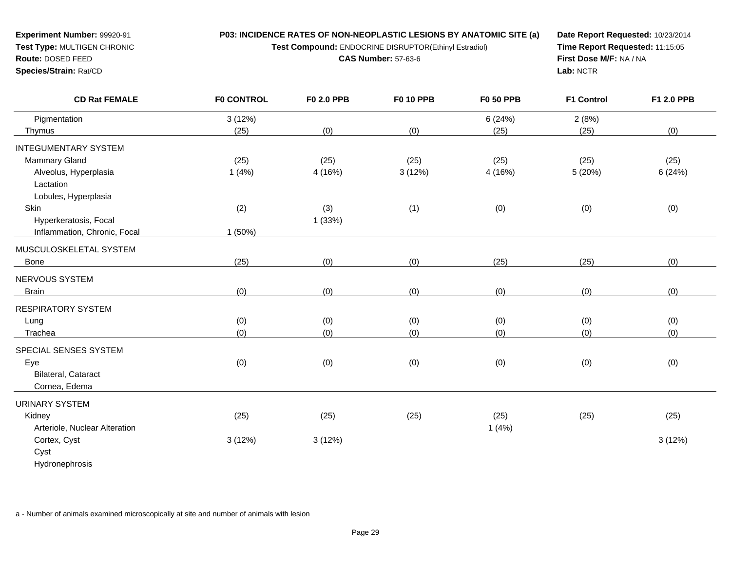**Test Compound:** ENDOCRINE DISRUPTOR(Ethinyl Estradiol)

**CAS Number:** 57-63-6

**Date Report Requested:** 10/23/2014**Time Report Requested:** 11:15:05**First Dose M/F:** NA / NA**Lab:** NCTR

| <b>CD Rat FEMALE</b>          | <b>F0 CONTROL</b> | F0 2.0 PPB | <b>F0 10 PPB</b> | <b>F0 50 PPB</b> | <b>F1 Control</b> | F1 2.0 PPB |
|-------------------------------|-------------------|------------|------------------|------------------|-------------------|------------|
| Pigmentation                  | 3(12%)            |            |                  | 6(24%)           | 2(8%)             |            |
| Thymus                        | (25)              | (0)        | (0)              | (25)             | (25)              | (0)        |
| <b>INTEGUMENTARY SYSTEM</b>   |                   |            |                  |                  |                   |            |
| Mammary Gland                 | (25)              | (25)       | (25)             | (25)             | (25)              | (25)       |
| Alveolus, Hyperplasia         | 1(4%)             | 4 (16%)    | 3(12%)           | 4(16%)           | 5(20%)            | 6(24%)     |
| Lactation                     |                   |            |                  |                  |                   |            |
| Lobules, Hyperplasia          |                   |            |                  |                  |                   |            |
| Skin                          | (2)               | (3)        | (1)              | (0)              | (0)               | (0)        |
| Hyperkeratosis, Focal         |                   | 1(33%)     |                  |                  |                   |            |
| Inflammation, Chronic, Focal  | 1 (50%)           |            |                  |                  |                   |            |
| MUSCULOSKELETAL SYSTEM        |                   |            |                  |                  |                   |            |
| Bone                          | (25)              | (0)        | (0)              | (25)             | (25)              | (0)        |
| NERVOUS SYSTEM                |                   |            |                  |                  |                   |            |
| <b>Brain</b>                  | (0)               | (0)        | (0)              | (0)              | (0)               | (0)        |
| <b>RESPIRATORY SYSTEM</b>     |                   |            |                  |                  |                   |            |
| Lung                          | (0)               | (0)        | (0)              | (0)              | (0)               | (0)        |
| Trachea                       | (0)               | (0)        | (0)              | (0)              | (0)               | (0)        |
|                               |                   |            |                  |                  |                   |            |
| SPECIAL SENSES SYSTEM         |                   |            |                  |                  |                   |            |
| Eye                           | (0)               | (0)        | (0)              | (0)              | (0)               | (0)        |
| Bilateral, Cataract           |                   |            |                  |                  |                   |            |
| Cornea, Edema                 |                   |            |                  |                  |                   |            |
| <b>URINARY SYSTEM</b>         |                   |            |                  |                  |                   |            |
| Kidney                        | (25)              | (25)       | (25)             | (25)             | (25)              | (25)       |
| Arteriole, Nuclear Alteration |                   |            |                  | 1(4%)            |                   |            |
| Cortex, Cyst                  | 3(12%)            | 3(12%)     |                  |                  |                   | 3(12%)     |
| Cyst                          |                   |            |                  |                  |                   |            |
| Hydronephrosis                |                   |            |                  |                  |                   |            |
|                               |                   |            |                  |                  |                   |            |

a - Number of animals examined microscopically at site and number of animals with lesion

**Experiment Number:** 99920-91**Test Type:** MULTIGEN CHRONIC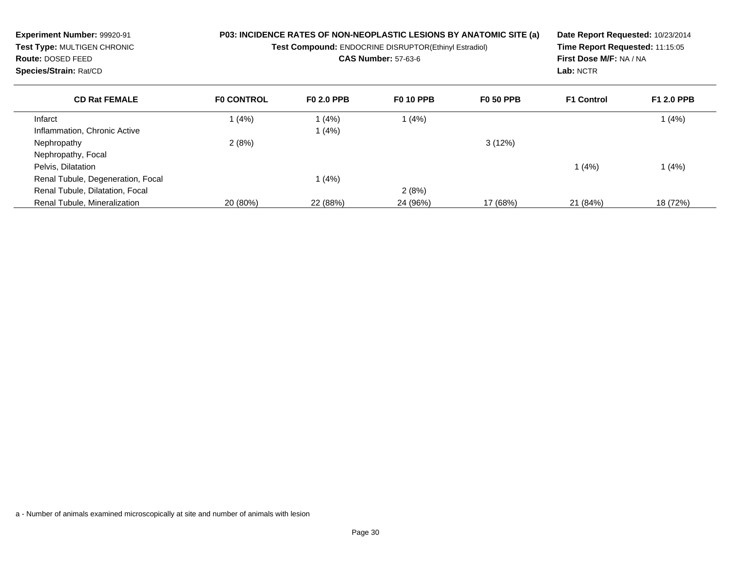| Experiment Number: 99920-91<br>Test Type: MULTIGEN CHRONIC<br><b>Route: DOSED FEED</b><br>Species/Strain: Rat/CD |                   | <b>P03: INCIDENCE RATES OF NON-NEOPLASTIC LESIONS BY ANATOMIC SITE (a)</b><br>Test Compound: ENDOCRINE DISRUPTOR(Ethinyl Estradiol)<br><b>CAS Number: 57-63-6</b> | Date Report Requested: 10/23/2014<br>Time Report Requested: 11:15:05<br>First Dose M/F: NA / NA<br>Lab: NCTR |                  |                   |                   |
|------------------------------------------------------------------------------------------------------------------|-------------------|-------------------------------------------------------------------------------------------------------------------------------------------------------------------|--------------------------------------------------------------------------------------------------------------|------------------|-------------------|-------------------|
| <b>CD Rat FEMALE</b>                                                                                             | <b>FO CONTROL</b> | <b>FO 2.0 PPB</b>                                                                                                                                                 | <b>F0 10 PPB</b>                                                                                             | <b>F0 50 PPB</b> | <b>F1 Control</b> | <b>F1 2.0 PPB</b> |
| Infarct                                                                                                          | 1(4%)             | (4%)                                                                                                                                                              | 1(4%)                                                                                                        |                  |                   | 1(4%)             |
| Inflammation, Chronic Active                                                                                     |                   | 1 (4%)                                                                                                                                                            |                                                                                                              |                  |                   |                   |
| Nephropathy                                                                                                      | 2(8%)             |                                                                                                                                                                   |                                                                                                              | 3(12%)           |                   |                   |
| Nephropathy, Focal                                                                                               |                   |                                                                                                                                                                   |                                                                                                              |                  |                   |                   |
| Pelvis, Dilatation                                                                                               |                   |                                                                                                                                                                   |                                                                                                              |                  | 1 (4%)            | 1(4%)             |
| Renal Tubule, Degeneration, Focal                                                                                |                   | (4%)                                                                                                                                                              |                                                                                                              |                  |                   |                   |
| Renal Tubule, Dilatation, Focal                                                                                  |                   |                                                                                                                                                                   | 2(8%)                                                                                                        |                  |                   |                   |
| Renal Tubule, Mineralization                                                                                     | 20 (80%)          | 22 (88%)                                                                                                                                                          | 24 (96%)                                                                                                     | 17 (68%)         | 21 (84%)          | 18 (72%)          |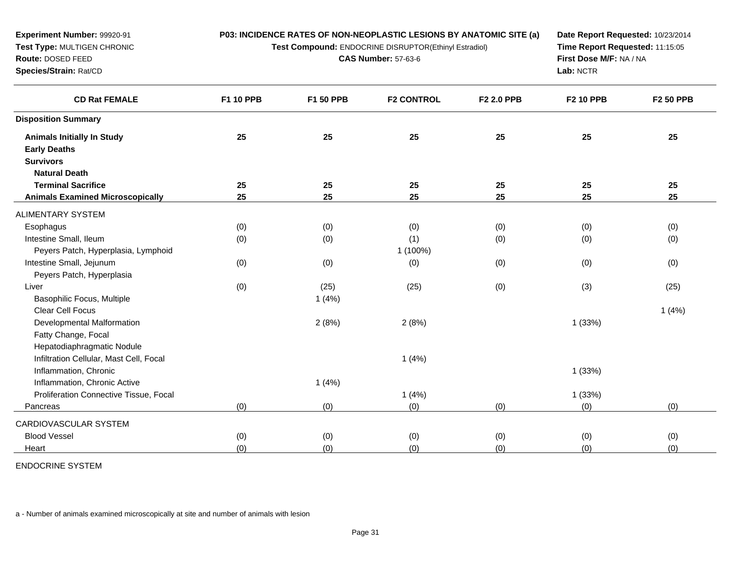| Experiment Number: 99920-91             |           |                                                       | P03: INCIDENCE RATES OF NON-NEOPLASTIC LESIONS BY ANATOMIC SITE (a) | Date Report Requested: 10/23/2014 |                  |                  |
|-----------------------------------------|-----------|-------------------------------------------------------|---------------------------------------------------------------------|-----------------------------------|------------------|------------------|
| Test Type: MULTIGEN CHRONIC             |           | Test Compound: ENDOCRINE DISRUPTOR(Ethinyl Estradiol) | Time Report Requested: 11:15:05                                     |                                   |                  |                  |
| Route: DOSED FEED                       |           | <b>CAS Number: 57-63-6</b>                            |                                                                     | First Dose M/F: NA / NA           |                  |                  |
| Species/Strain: Rat/CD                  |           |                                                       |                                                                     | Lab: NCTR                         |                  |                  |
| <b>CD Rat FEMALE</b>                    | F1 10 PPB | F1 50 PPB                                             | <b>F2 CONTROL</b>                                                   | F2 2.0 PPB                        | <b>F2 10 PPB</b> | <b>F2 50 PPB</b> |
| <b>Disposition Summary</b>              |           |                                                       |                                                                     |                                   |                  |                  |
| <b>Animals Initially In Study</b>       | 25        | 25                                                    | 25                                                                  | 25                                | 25               | 25               |
| <b>Early Deaths</b>                     |           |                                                       |                                                                     |                                   |                  |                  |
| <b>Survivors</b>                        |           |                                                       |                                                                     |                                   |                  |                  |
| <b>Natural Death</b>                    |           |                                                       |                                                                     |                                   |                  |                  |
| <b>Terminal Sacrifice</b>               | 25        | 25                                                    | 25                                                                  | 25                                | 25               | 25               |
| <b>Animals Examined Microscopically</b> | 25        | 25                                                    | 25                                                                  | 25                                | 25               | 25               |
| <b>ALIMENTARY SYSTEM</b>                |           |                                                       |                                                                     |                                   |                  |                  |
| Esophagus                               | (0)       | (0)                                                   | (0)                                                                 | (0)                               | (0)              | (0)              |
| Intestine Small, Ileum                  | (0)       | (0)                                                   | (1)                                                                 | (0)                               | (0)              | (0)              |
| Peyers Patch, Hyperplasia, Lymphoid     |           |                                                       | 1 (100%)                                                            |                                   |                  |                  |
| Intestine Small, Jejunum                | (0)       | (0)                                                   | (0)                                                                 | (0)                               | (0)              | (0)              |
| Peyers Patch, Hyperplasia               |           |                                                       |                                                                     |                                   |                  |                  |
| Liver                                   | (0)       | (25)                                                  | (25)                                                                | (0)                               | (3)              | (25)             |
| Basophilic Focus, Multiple              |           | 1(4%)                                                 |                                                                     |                                   |                  |                  |
| <b>Clear Cell Focus</b>                 |           |                                                       |                                                                     |                                   |                  | 1(4%)            |
| Developmental Malformation              |           | 2(8%)                                                 | 2(8%)                                                               |                                   | 1(33%)           |                  |
| Fatty Change, Focal                     |           |                                                       |                                                                     |                                   |                  |                  |
| Hepatodiaphragmatic Nodule              |           |                                                       |                                                                     |                                   |                  |                  |
| Infiltration Cellular, Mast Cell, Focal |           |                                                       | 1(4%)                                                               |                                   |                  |                  |
| Inflammation, Chronic                   |           |                                                       |                                                                     |                                   | 1(33%)           |                  |
| Inflammation, Chronic Active            |           | 1(4%)                                                 |                                                                     |                                   |                  |                  |
| Proliferation Connective Tissue, Focal  |           |                                                       | 1(4%)                                                               |                                   | 1(33%)           |                  |
| Pancreas                                | (0)       | (0)                                                   | (0)                                                                 | (0)                               | (0)              | (0)              |
| CARDIOVASCULAR SYSTEM                   |           |                                                       |                                                                     |                                   |                  |                  |
| <b>Blood Vessel</b>                     | (0)       | (0)                                                   | (0)                                                                 | (0)                               | (0)              | (0)              |
| Heart                                   | (0)       | (0)                                                   | (0)                                                                 | (0)                               | (0)              | (0)              |
|                                         |           |                                                       |                                                                     |                                   |                  |                  |

ENDOCRINE SYSTEM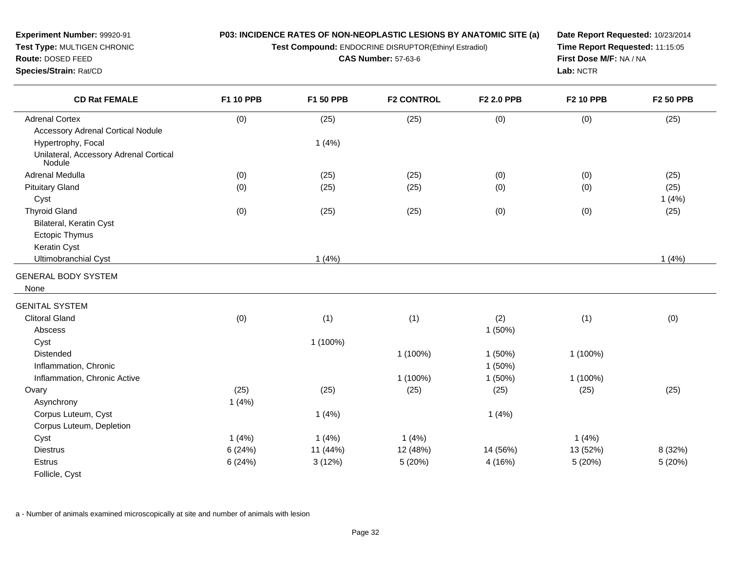**Test Compound:** ENDOCRINE DISRUPTOR(Ethinyl Estradiol)

**CAS Number:** 57-63-6

**Date Report Requested:** 10/23/2014**Time Report Requested:** 11:15:05**First Dose M/F:** NA / NA**Lab:** NCTR

| <b>CD Rat FEMALE</b>                                          | <b>F1 10 PPB</b> | F1 50 PPB  | <b>F2 CONTROL</b> | F2 2.0 PPB | <b>F2 10 PPB</b> | <b>F2 50 PPB</b> |
|---------------------------------------------------------------|------------------|------------|-------------------|------------|------------------|------------------|
| <b>Adrenal Cortex</b>                                         | (0)              | (25)       | (25)              | (0)        | (0)              | (25)             |
| <b>Accessory Adrenal Cortical Nodule</b>                      |                  |            |                   |            |                  |                  |
| Hypertrophy, Focal                                            |                  | 1(4%)      |                   |            |                  |                  |
| Unilateral, Accessory Adrenal Cortical<br>Nodule <sup>®</sup> |                  |            |                   |            |                  |                  |
| Adrenal Medulla                                               | (0)              | (25)       | (25)              | (0)        | (0)              | (25)             |
| <b>Pituitary Gland</b>                                        | (0)              | (25)       | (25)              | (0)        | (0)              | (25)             |
| Cyst                                                          |                  |            |                   |            |                  | 1(4%)            |
| <b>Thyroid Gland</b>                                          | (0)              | (25)       | (25)              | (0)        | (0)              | (25)             |
| Bilateral, Keratin Cyst                                       |                  |            |                   |            |                  |                  |
| <b>Ectopic Thymus</b>                                         |                  |            |                   |            |                  |                  |
| Keratin Cyst                                                  |                  |            |                   |            |                  |                  |
| Ultimobranchial Cyst                                          |                  | 1(4%)      |                   |            |                  | 1(4%)            |
| <b>GENERAL BODY SYSTEM</b>                                    |                  |            |                   |            |                  |                  |
| None                                                          |                  |            |                   |            |                  |                  |
| <b>GENITAL SYSTEM</b>                                         |                  |            |                   |            |                  |                  |
| <b>Clitoral Gland</b>                                         | (0)              | (1)        | (1)               | (2)        | (1)              | (0)              |
| Abscess                                                       |                  |            |                   | 1(50%)     |                  |                  |
| Cyst                                                          |                  | $1(100\%)$ |                   |            |                  |                  |
| <b>Distended</b>                                              |                  |            | 1 (100%)          | 1(50%)     | 1 (100%)         |                  |
| Inflammation, Chronic                                         |                  |            |                   | 1(50%)     |                  |                  |
| Inflammation, Chronic Active                                  |                  |            | 1 (100%)          | 1(50%)     | 1 (100%)         |                  |
| Ovary                                                         | (25)             | (25)       | (25)              | (25)       | (25)             | (25)             |
| Asynchrony                                                    | 1(4%)            |            |                   |            |                  |                  |
| Corpus Luteum, Cyst                                           |                  | 1(4%)      |                   | 1(4%)      |                  |                  |
| Corpus Luteum, Depletion                                      |                  |            |                   |            |                  |                  |
| Cyst                                                          | 1(4%)            | 1(4%)      | 1(4%)             |            | 1(4%)            |                  |
| <b>Diestrus</b>                                               | 6(24%)           | 11 (44%)   | 12 (48%)          | 14 (56%)   | 13 (52%)         | 8 (32%)          |
| <b>Estrus</b>                                                 | 6(24%)           | 3(12%)     | 5 (20%)           | 4 (16%)    | 5(20%)           | 5 (20%)          |
| Follicle, Cyst                                                |                  |            |                   |            |                  |                  |

a - Number of animals examined microscopically at site and number of animals with lesion

**Experiment Number:** 99920-91**Test Type:** MULTIGEN CHRONIC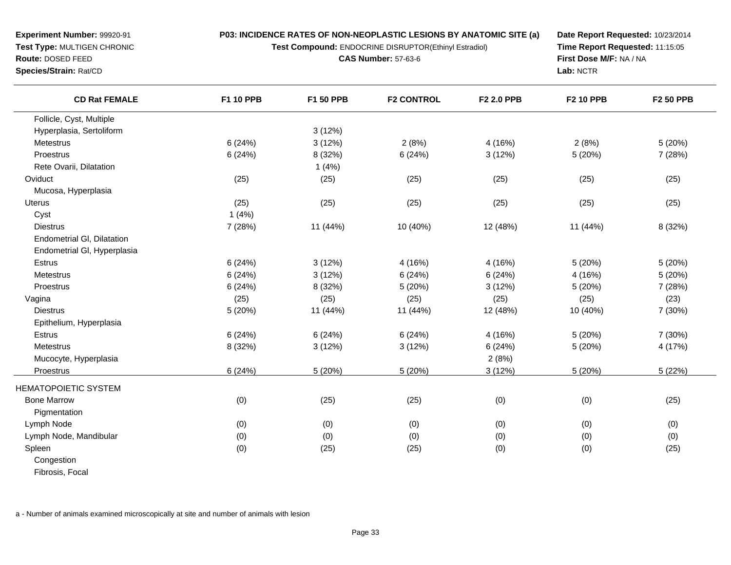**P03: INCIDENCE RATES OF NON-NEOPLASTIC LESIONS BY ANATOMIC SITE (a)Test Compound:** ENDOCRINE DISRUPTOR(Ethinyl Estradiol)

**CAS Number:** 57-63-6

**Experiment Number:** 99920-91**Test Type:** MULTIGEN CHRONIC

**Route:** DOSED FEED

 $\overline{\phantom{a}}$ 

**Species/Strain:** Rat/CD

**Date Report Requested:** 10/23/2014**Time Report Requested:** 11:15:05**First Dose M/F:** NA / NA**Lab:** NCTR

| <b>CD Rat FEMALE</b>        | <b>F1 10 PPB</b> | F1 50 PPB | <b>F2 CONTROL</b> | F2 2.0 PPB | <b>F2 10 PPB</b> | <b>F2 50 PPB</b> |
|-----------------------------|------------------|-----------|-------------------|------------|------------------|------------------|
| Follicle, Cyst, Multiple    |                  |           |                   |            |                  |                  |
| Hyperplasia, Sertoliform    |                  | 3(12%)    |                   |            |                  |                  |
| Metestrus                   | 6(24%)           | 3(12%)    | 2(8%)             | 4 (16%)    | 2(8%)            | 5(20%)           |
| Proestrus                   | 6(24%)           | 8 (32%)   | 6(24%)            | 3(12%)     | 5(20%)           | 7 (28%)          |
| Rete Ovarii, Dilatation     |                  | 1(4%)     |                   |            |                  |                  |
| Oviduct                     | (25)             | (25)      | (25)              | (25)       | (25)             | (25)             |
| Mucosa, Hyperplasia         |                  |           |                   |            |                  |                  |
| Uterus                      | (25)             | (25)      | (25)              | (25)       | (25)             | (25)             |
| Cyst                        | 1(4%)            |           |                   |            |                  |                  |
| <b>Diestrus</b>             | 7 (28%)          | 11 (44%)  | 10 (40%)          | 12 (48%)   | 11 (44%)         | 8 (32%)          |
| Endometrial GI, Dilatation  |                  |           |                   |            |                  |                  |
| Endometrial GI, Hyperplasia |                  |           |                   |            |                  |                  |
| <b>Estrus</b>               | 6(24%)           | 3(12%)    | 4(16%)            | 4 (16%)    | 5(20%)           | 5(20%)           |
| Metestrus                   | 6(24%)           | 3(12%)    | 6(24%)            | 6(24%)     | 4(16%)           | 5(20%)           |
| Proestrus                   | 6(24%)           | 8 (32%)   | 5(20%)            | 3(12%)     | 5(20%)           | 7(28%)           |
| Vagina                      | (25)             | (25)      | (25)              | (25)       | (25)             | (23)             |
| <b>Diestrus</b>             | 5(20%)           | 11 (44%)  | 11 (44%)          | 12 (48%)   | 10 (40%)         | 7 (30%)          |
| Epithelium, Hyperplasia     |                  |           |                   |            |                  |                  |
| Estrus                      | 6(24%)           | 6(24%)    | 6(24%)            | 4 (16%)    | 5(20%)           | 7 (30%)          |
| Metestrus                   | 8 (32%)          | 3(12%)    | 3(12%)            | 6(24%)     | 5 (20%)          | 4 (17%)          |
| Mucocyte, Hyperplasia       |                  |           |                   | 2(8%)      |                  |                  |
| Proestrus                   | 6(24%)           | 5(20%)    | 5(20%)            | 3(12%)     | 5(20%)           | 5(22%)           |
| <b>HEMATOPOIETIC SYSTEM</b> |                  |           |                   |            |                  |                  |
| <b>Bone Marrow</b>          | (0)              | (25)      | (25)              | (0)        | (0)              | (25)             |
| Pigmentation                |                  |           |                   |            |                  |                  |
| Lymph Node                  | (0)              | (0)       | (0)               | (0)        | (0)              | (0)              |
| Lymph Node, Mandibular      | (0)              | (0)       | (0)               | (0)        | (0)              | (0)              |
| Spleen                      | (0)              | (25)      | (25)              | (0)        | (0)              | (25)             |
| Congestion                  |                  |           |                   |            |                  |                  |
| Fibrosis, Focal             |                  |           |                   |            |                  |                  |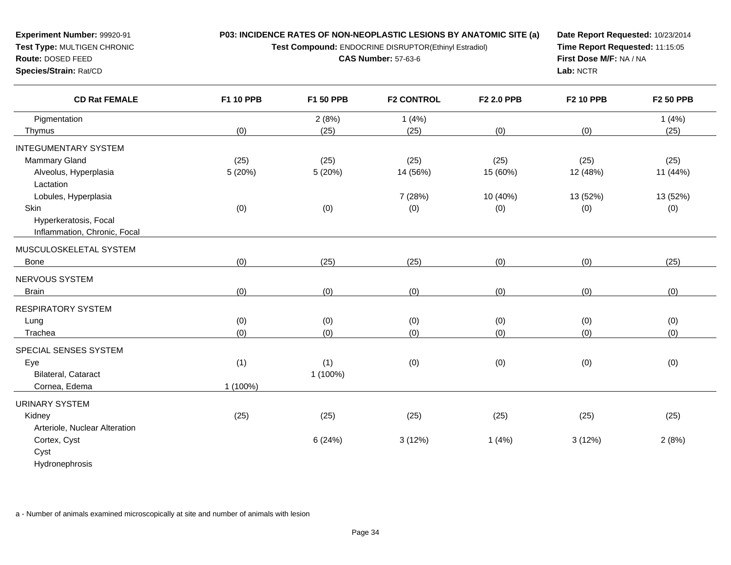**P03: INCIDENCE RATES OF NON-NEOPLASTIC LESIONS BY ANATOMIC SITE (a)Test Compound:** ENDOCRINE DISRUPTOR(Ethinyl Estradiol)

**CAS Number:** 57-63-6

**Experiment Number:** 99920-91**Test Type:** MULTIGEN CHRONIC

**Route:** DOSED FEED

**Species/Strain:** Rat/CD

**Date Report Requested:** 10/23/2014**Time Report Requested:** 11:15:05**First Dose M/F:** NA / NA**Lab:** NCTR

| <b>CD Rat FEMALE</b>          | F1 10 PPB | F1 50 PPB | <b>F2 CONTROL</b> | F2 2.0 PPB | <b>F2 10 PPB</b> | <b>F2 50 PPB</b> |
|-------------------------------|-----------|-----------|-------------------|------------|------------------|------------------|
| Pigmentation                  |           | 2(8%)     | 1(4%)             |            |                  | 1(4%)            |
| Thymus                        | (0)       | (25)      | (25)              | (0)        | (0)              | (25)             |
| <b>INTEGUMENTARY SYSTEM</b>   |           |           |                   |            |                  |                  |
| Mammary Gland                 | (25)      | (25)      | (25)              | (25)       | (25)             | (25)             |
| Alveolus, Hyperplasia         | 5(20%)    | 5(20%)    | 14 (56%)          | 15 (60%)   | 12 (48%)         | 11 (44%)         |
| Lactation                     |           |           |                   |            |                  |                  |
| Lobules, Hyperplasia          |           |           | 7 (28%)           | 10 (40%)   | 13 (52%)         | 13 (52%)         |
| Skin                          | (0)       | (0)       | (0)               | (0)        | (0)              | (0)              |
| Hyperkeratosis, Focal         |           |           |                   |            |                  |                  |
| Inflammation, Chronic, Focal  |           |           |                   |            |                  |                  |
| MUSCULOSKELETAL SYSTEM        |           |           |                   |            |                  |                  |
| Bone                          | (0)       | (25)      | (25)              | (0)        | (0)              | (25)             |
| NERVOUS SYSTEM                |           |           |                   |            |                  |                  |
| <b>Brain</b>                  | (0)       | (0)       | (0)               | (0)        | (0)              | (0)              |
| <b>RESPIRATORY SYSTEM</b>     |           |           |                   |            |                  |                  |
|                               |           |           |                   |            |                  |                  |
| Lung                          | (0)       | (0)       | (0)               | (0)        | (0)              | (0)              |
| Trachea                       | (0)       | (0)       | (0)               | (0)        | (0)              | (0)              |
| SPECIAL SENSES SYSTEM         |           |           |                   |            |                  |                  |
| Eye                           | (1)       | (1)       | (0)               | (0)        | (0)              | (0)              |
| Bilateral, Cataract           |           | 1 (100%)  |                   |            |                  |                  |
| Cornea, Edema                 | 1 (100%)  |           |                   |            |                  |                  |
| <b>URINARY SYSTEM</b>         |           |           |                   |            |                  |                  |
| Kidney                        | (25)      | (25)      | (25)              | (25)       | (25)             | (25)             |
| Arteriole, Nuclear Alteration |           |           |                   |            |                  |                  |
| Cortex, Cyst                  |           | 6(24%)    | 3(12%)            | 1(4%)      | 3(12%)           | 2(8%)            |
| Cyst                          |           |           |                   |            |                  |                  |
| Hydronephrosis                |           |           |                   |            |                  |                  |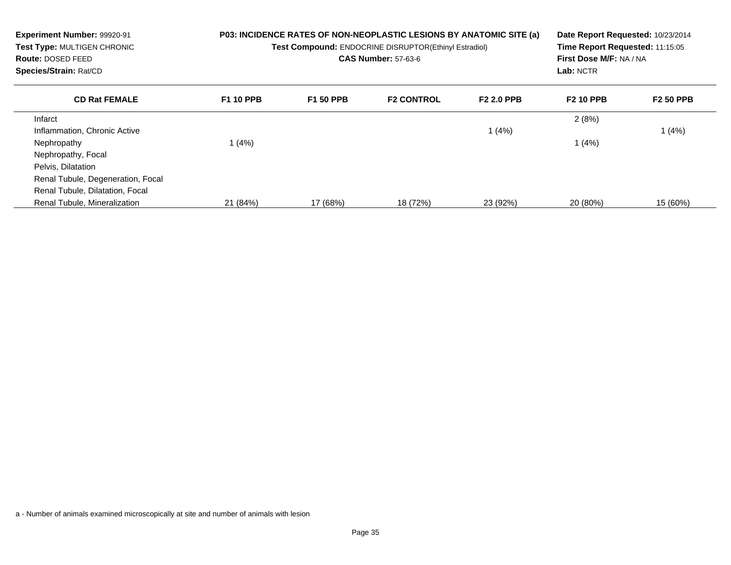| Experiment Number: 99920-91<br>Test Type: MULTIGEN CHRONIC<br><b>Route: DOSED FEED</b><br>Species/Strain: Rat/CD |                  | P03: INCIDENCE RATES OF NON-NEOPLASTIC LESIONS BY ANATOMIC SITE (a)<br>Test Compound: ENDOCRINE DISRUPTOR(Ethinyl Estradiol)<br><b>CAS Number: 57-63-6</b> | Date Report Requested: 10/23/2014<br>Time Report Requested: 11:15:05<br>First Dose M/F: NA / NA<br>Lab: NCTR |                   |                  |                  |
|------------------------------------------------------------------------------------------------------------------|------------------|------------------------------------------------------------------------------------------------------------------------------------------------------------|--------------------------------------------------------------------------------------------------------------|-------------------|------------------|------------------|
| <b>CD Rat FEMALE</b>                                                                                             | <b>F1 10 PPB</b> | <b>F1 50 PPB</b>                                                                                                                                           | <b>F2 CONTROL</b>                                                                                            | <b>F2 2.0 PPB</b> | <b>F2 10 PPB</b> | <b>F2 50 PPB</b> |
| Infarct                                                                                                          |                  |                                                                                                                                                            |                                                                                                              |                   | 2(8%)            |                  |
| Inflammation, Chronic Active                                                                                     |                  |                                                                                                                                                            |                                                                                                              | 1(4%)             |                  | 1 (4%)           |
| Nephropathy                                                                                                      | 1(4%)            |                                                                                                                                                            |                                                                                                              |                   | (4%)             |                  |
| Nephropathy, Focal                                                                                               |                  |                                                                                                                                                            |                                                                                                              |                   |                  |                  |
| Pelvis, Dilatation                                                                                               |                  |                                                                                                                                                            |                                                                                                              |                   |                  |                  |
| Renal Tubule, Degeneration, Focal                                                                                |                  |                                                                                                                                                            |                                                                                                              |                   |                  |                  |
| Renal Tubule, Dilatation, Focal                                                                                  |                  |                                                                                                                                                            |                                                                                                              |                   |                  |                  |
| Renal Tubule, Mineralization                                                                                     | 21 (84%)         | 17 (68%)                                                                                                                                                   | 18 (72%)                                                                                                     | 23 (92%)          | 20 (80%)         | 15 (60%)         |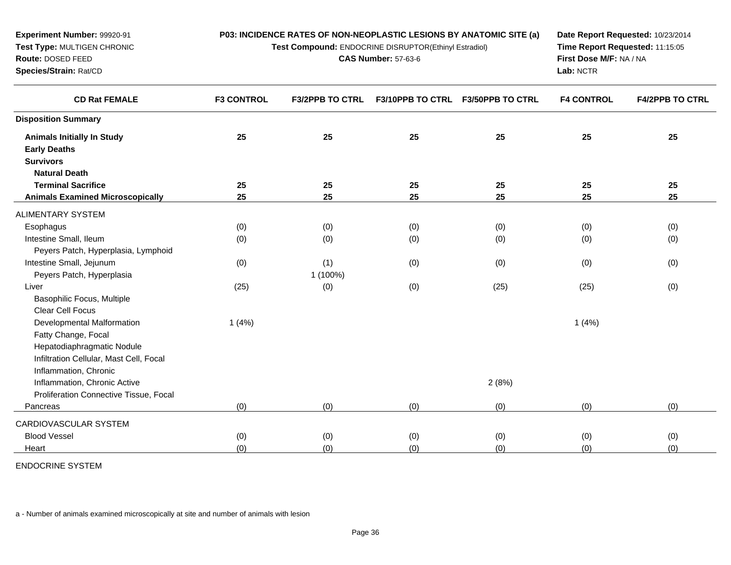| <b>Experiment Number: 99920-91</b><br>Test Type: MULTIGEN CHRONIC<br>Route: DOSED FEED<br>Species/Strain: Rat/CD | P03: INCIDENCE RATES OF NON-NEOPLASTIC LESIONS BY ANATOMIC SITE (a)<br>Test Compound: ENDOCRINE DISRUPTOR(Ethinyl Estradiol) | Date Report Requested: 10/23/2014<br>Time Report Requested: 11:15:05<br>First Dose M/F: NA / NA<br>Lab: NCTR |    |                                   |                   |                        |
|------------------------------------------------------------------------------------------------------------------|------------------------------------------------------------------------------------------------------------------------------|--------------------------------------------------------------------------------------------------------------|----|-----------------------------------|-------------------|------------------------|
| <b>CD Rat FEMALE</b>                                                                                             | <b>F3 CONTROL</b>                                                                                                            | <b>F3/2PPB TO CTRL</b>                                                                                       |    | F3/10PPB TO CTRL F3/50PPB TO CTRL | <b>F4 CONTROL</b> | <b>F4/2PPB TO CTRL</b> |
| <b>Disposition Summary</b>                                                                                       |                                                                                                                              |                                                                                                              |    |                                   |                   |                        |
| <b>Animals Initially In Study</b><br><b>Early Deaths</b>                                                         | 25                                                                                                                           | 25                                                                                                           | 25 | 25                                | 25                | 25                     |

| <b>Survivors</b>                        |       |           |     |       |       |     |
|-----------------------------------------|-------|-----------|-----|-------|-------|-----|
| <b>Natural Death</b>                    |       |           |     |       |       |     |
| <b>Terminal Sacrifice</b>               | 25    | 25        | 25  | 25    | 25    | 25  |
| <b>Animals Examined Microscopically</b> | 25    | 25        | 25  | 25    | 25    | 25  |
| <b>ALIMENTARY SYSTEM</b>                |       |           |     |       |       |     |
| Esophagus                               | (0)   | (0)       | (0) | (0)   | (0)   | (0) |
| Intestine Small, Ileum                  | (0)   | (0)       | (0) | (0)   | (0)   | (0) |
| Peyers Patch, Hyperplasia, Lymphoid     |       |           |     |       |       |     |
| Intestine Small, Jejunum                | (0)   | (1)       | (0) | (0)   | (0)   | (0) |
| Peyers Patch, Hyperplasia               |       | $(100\%)$ |     |       |       |     |
| Liver                                   | (25)  | (0)       | (0) | (25)  | (25)  | (0) |
| Basophilic Focus, Multiple              |       |           |     |       |       |     |
| Clear Cell Focus                        |       |           |     |       |       |     |
| Developmental Malformation              | 1(4%) |           |     |       | 1(4%) |     |
| Fatty Change, Focal                     |       |           |     |       |       |     |
| Hepatodiaphragmatic Nodule              |       |           |     |       |       |     |
| Infiltration Cellular, Mast Cell, Focal |       |           |     |       |       |     |
| Inflammation, Chronic                   |       |           |     |       |       |     |
| Inflammation, Chronic Active            |       |           |     | 2(8%) |       |     |
| Proliferation Connective Tissue, Focal  |       |           |     |       |       |     |
| Pancreas                                | (0)   | (0)       | (0) | (0)   | (0)   | (0) |

CARDIOVASCULAR SYSTEMBlood Vessel $\vert$  (0)

Heartt the contract of  $(0)$ 

ENDOCRINE SYSTEM

a - Number of animals examined microscopically at site and number of animals with lesion

(0) (0) (0) (0) (0) (0)

) (0) (0) (0) (0) (0) (0) (0) (0)

(0)  $(0)$   $(0)$   $(0)$   $(0)$   $(0)$   $(0)$   $(0)$   $(0)$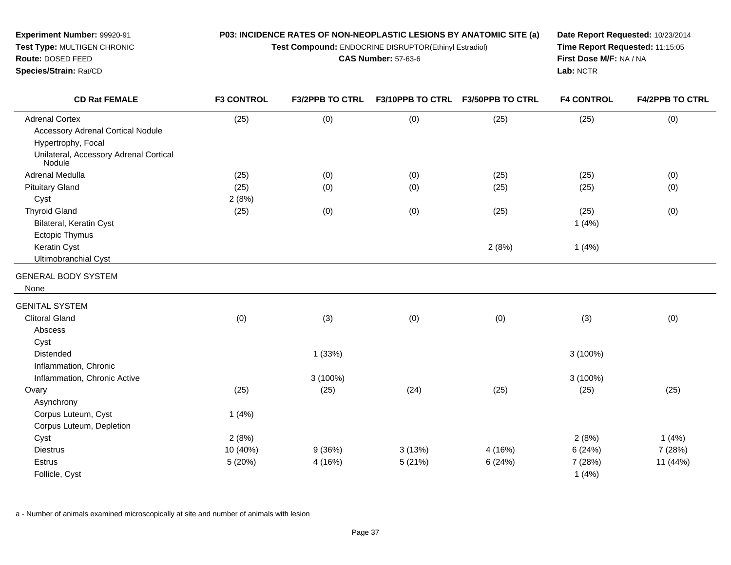**Test Compound:** ENDOCRINE DISRUPTOR(Ethinyl Estradiol)

**CAS Number:** 57-63-6

**Date Report Requested:** 10/23/2014**Time Report Requested:** 11:15:05**First Dose M/F:** NA / NA**Lab:** NCTR

| <b>CD Rat FEMALE</b>                                          | <b>F3 CONTROL</b> | <b>F3/2PPB TO CTRL</b> | F3/10PPB TO CTRL F3/50PPB TO CTRL |         | <b>F4 CONTROL</b> | <b>F4/2PPB TO CTRL</b> |
|---------------------------------------------------------------|-------------------|------------------------|-----------------------------------|---------|-------------------|------------------------|
| <b>Adrenal Cortex</b>                                         | (25)              | (0)                    | (0)                               | (25)    | (25)              | (0)                    |
| <b>Accessory Adrenal Cortical Nodule</b>                      |                   |                        |                                   |         |                   |                        |
| Hypertrophy, Focal                                            |                   |                        |                                   |         |                   |                        |
| Unilateral, Accessory Adrenal Cortical<br>Nodule <sup>®</sup> |                   |                        |                                   |         |                   |                        |
| Adrenal Medulla                                               | (25)              | (0)                    | (0)                               | (25)    | (25)              | (0)                    |
| <b>Pituitary Gland</b>                                        | (25)              | (0)                    | (0)                               | (25)    | (25)              | (0)                    |
| Cyst                                                          | 2(8%)             |                        |                                   |         |                   |                        |
| <b>Thyroid Gland</b>                                          | (25)              | (0)                    | (0)                               | (25)    | (25)              | (0)                    |
| Bilateral, Keratin Cyst                                       |                   |                        |                                   |         | 1(4%)             |                        |
| Ectopic Thymus                                                |                   |                        |                                   |         |                   |                        |
| Keratin Cyst                                                  |                   |                        |                                   | 2(8%)   | 1(4%)             |                        |
| <b>Ultimobranchial Cyst</b>                                   |                   |                        |                                   |         |                   |                        |
| <b>GENERAL BODY SYSTEM</b>                                    |                   |                        |                                   |         |                   |                        |
| None                                                          |                   |                        |                                   |         |                   |                        |
| <b>GENITAL SYSTEM</b>                                         |                   |                        |                                   |         |                   |                        |
| <b>Clitoral Gland</b>                                         | (0)               | (3)                    | (0)                               | (0)     | (3)               | (0)                    |
| Abscess                                                       |                   |                        |                                   |         |                   |                        |
| Cyst                                                          |                   |                        |                                   |         |                   |                        |
| Distended                                                     |                   | 1(33%)                 |                                   |         | 3 (100%)          |                        |
| Inflammation, Chronic                                         |                   |                        |                                   |         |                   |                        |
| Inflammation, Chronic Active                                  |                   | 3 (100%)               |                                   |         | 3 (100%)          |                        |
| Ovary                                                         | (25)              | (25)                   | (24)                              | (25)    | (25)              | (25)                   |
| Asynchrony                                                    |                   |                        |                                   |         |                   |                        |
| Corpus Luteum, Cyst                                           | 1(4%)             |                        |                                   |         |                   |                        |
| Corpus Luteum, Depletion                                      |                   |                        |                                   |         |                   |                        |
| Cyst                                                          | 2(8%)             |                        |                                   |         | 2(8%)             | 1(4%)                  |
| <b>Diestrus</b>                                               | 10 (40%)          | 9(36%)                 | 3(13%)                            | 4 (16%) | 6(24%)            | 7 (28%)                |
| Estrus                                                        | 5(20%)            | 4(16%)                 | 5(21%)                            | 6(24%)  | 7 (28%)           | 11 (44%)               |
| Follicle, Cyst                                                |                   |                        |                                   |         | 1(4%)             |                        |

a - Number of animals examined microscopically at site and number of animals with lesion

**Experiment Number:** 99920-91**Test Type:** MULTIGEN CHRONIC

**Route:** DOSED FEED**Species/Strain:** Rat/CD

 $\overline{\phantom{0}}$ 

 $\overline{\phantom{0}}$ 

 $\overline{\phantom{0}}$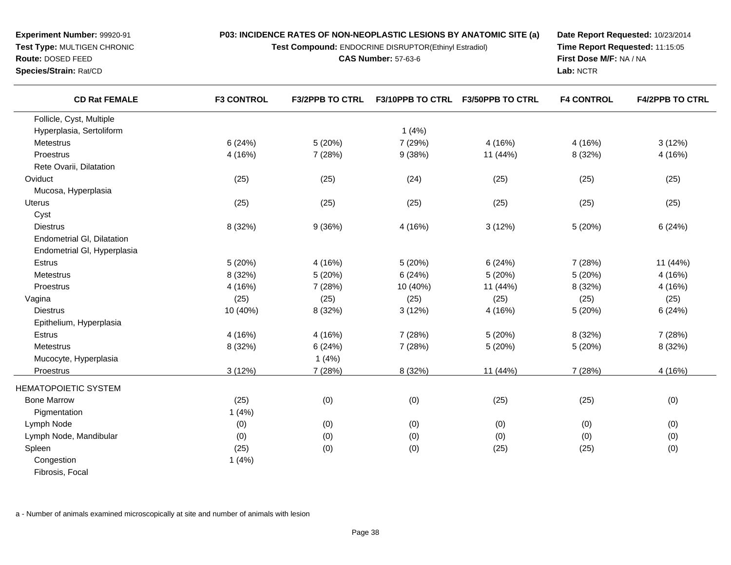**Test Compound:** ENDOCRINE DISRUPTOR(Ethinyl Estradiol)

**CAS Number:** 57-63-6

**Date Report Requested:** 10/23/2014**Time Report Requested:** 11:15:05**First Dose M/F:** NA / NA**Lab:** NCTR

| <b>CD Rat FEMALE</b>        | <b>F3 CONTROL</b> | <b>F3/2PPB TO CTRL</b> | F3/10PPB TO CTRL | <b>F3/50PPB TO CTRL</b> | <b>F4 CONTROL</b> | <b>F4/2PPB TO CTRL</b> |
|-----------------------------|-------------------|------------------------|------------------|-------------------------|-------------------|------------------------|
| Follicle, Cyst, Multiple    |                   |                        |                  |                         |                   |                        |
| Hyperplasia, Sertoliform    |                   |                        | 1(4%)            |                         |                   |                        |
| Metestrus                   | 6(24%)            | 5(20%)                 | 7 (29%)          | 4 (16%)                 | 4 (16%)           | 3(12%)                 |
| Proestrus                   | 4 (16%)           | 7 (28%)                | 9(38%)           | 11 (44%)                | 8 (32%)           | 4 (16%)                |
| Rete Ovarii, Dilatation     |                   |                        |                  |                         |                   |                        |
| Oviduct                     | (25)              | (25)                   | (24)             | (25)                    | (25)              | (25)                   |
| Mucosa, Hyperplasia         |                   |                        |                  |                         |                   |                        |
| <b>Uterus</b>               | (25)              | (25)                   | (25)             | (25)                    | (25)              | (25)                   |
| Cyst                        |                   |                        |                  |                         |                   |                        |
| <b>Diestrus</b>             | 8 (32%)           | 9(36%)                 | 4 (16%)          | 3(12%)                  | 5(20%)            | 6(24%)                 |
| Endometrial GI, Dilatation  |                   |                        |                  |                         |                   |                        |
| Endometrial GI, Hyperplasia |                   |                        |                  |                         |                   |                        |
| Estrus                      | 5 (20%)           | 4 (16%)                | 5(20%)           | 6(24%)                  | 7 (28%)           | 11 (44%)               |
| <b>Metestrus</b>            | 8 (32%)           | 5(20%)                 | 6(24%)           | 5 (20%)                 | 5 (20%)           | 4 (16%)                |
| Proestrus                   | 4 (16%)           | 7 (28%)                | 10 (40%)         | 11 (44%)                | 8 (32%)           | 4 (16%)                |
| Vagina                      | (25)              | (25)                   | (25)             | (25)                    | (25)              | (25)                   |
| <b>Diestrus</b>             | 10 (40%)          | 8 (32%)                | 3(12%)           | 4 (16%)                 | 5 (20%)           | 6(24%)                 |
| Epithelium, Hyperplasia     |                   |                        |                  |                         |                   |                        |
| <b>Estrus</b>               | 4 (16%)           | 4 (16%)                | 7 (28%)          | 5(20%)                  | 8 (32%)           | 7(28%)                 |
| Metestrus                   | 8 (32%)           | 6(24%)                 | 7 (28%)          | 5 (20%)                 | 5 (20%)           | 8 (32%)                |
| Mucocyte, Hyperplasia       |                   | 1(4%)                  |                  |                         |                   |                        |
| Proestrus                   | 3(12%)            | 7 (28%)                | 8 (32%)          | 11 (44%)                | 7 (28%)           | 4 (16%)                |
| <b>HEMATOPOIETIC SYSTEM</b> |                   |                        |                  |                         |                   |                        |
| <b>Bone Marrow</b>          | (25)              | (0)                    | (0)              | (25)                    | (25)              | (0)                    |
| Pigmentation                | 1(4%)             |                        |                  |                         |                   |                        |
| Lymph Node                  | (0)               | (0)                    | (0)              | (0)                     | (0)               | (0)                    |
| Lymph Node, Mandibular      | (0)               | (0)                    | (0)              | (0)                     | (0)               | (0)                    |
| Spleen                      | (25)              | (0)                    | (0)              | (25)                    | (25)              | (0)                    |
| Congestion                  | 1(4%)             |                        |                  |                         |                   |                        |
| Fibrosis, Focal             |                   |                        |                  |                         |                   |                        |

a - Number of animals examined microscopically at site and number of animals with lesion

**Experiment Number:** 99920-91**Test Type:** MULTIGEN CHRONIC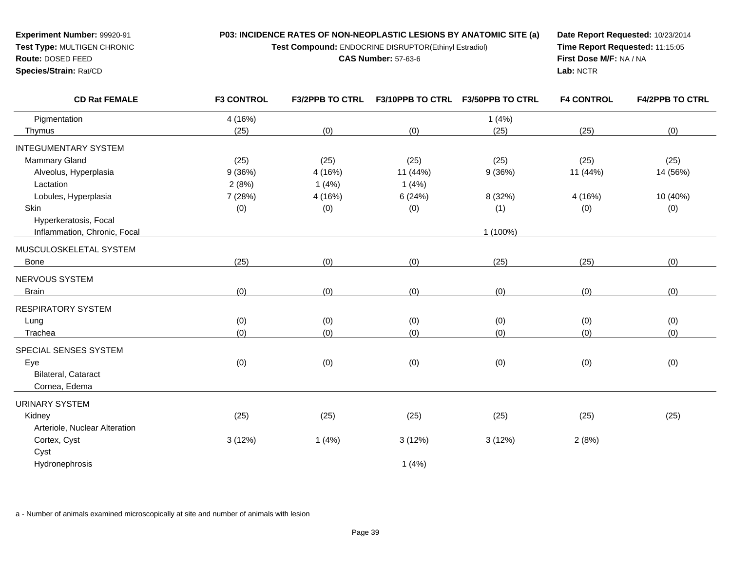**Test Compound:** ENDOCRINE DISRUPTOR(Ethinyl Estradiol)

**CAS Number:** 57-63-6

**Date Report Requested:** 10/23/2014**Time Report Requested:** 11:15:05**First Dose M/F:** NA / NA**Lab:** NCTR

| <b>CD Rat FEMALE</b>          | <b>F3 CONTROL</b> | <b>F3/2PPB TO CTRL</b> | <b>F3/10PPB TO CTRL</b> | <b>F3/50PPB TO CTRL</b> | <b>F4 CONTROL</b> | <b>F4/2PPB TO CTRL</b> |
|-------------------------------|-------------------|------------------------|-------------------------|-------------------------|-------------------|------------------------|
| Pigmentation                  | 4 (16%)           |                        |                         | 1(4%)                   |                   |                        |
| Thymus                        | (25)              | (0)                    | (0)                     | (25)                    | (25)              | (0)                    |
| <b>INTEGUMENTARY SYSTEM</b>   |                   |                        |                         |                         |                   |                        |
| <b>Mammary Gland</b>          | (25)              | (25)                   | (25)                    | (25)                    | (25)              | (25)                   |
| Alveolus, Hyperplasia         | 9(36%)            | 4 (16%)                | 11 (44%)                | 9(36%)                  | 11 (44%)          | 14 (56%)               |
| Lactation                     | 2(8%)             | 1(4%)                  | 1(4%)                   |                         |                   |                        |
| Lobules, Hyperplasia          | 7 (28%)           | 4 (16%)                | 6(24%)                  | 8 (32%)                 | 4 (16%)           | 10 (40%)               |
| Skin                          | (0)               | (0)                    | (0)                     | (1)                     | (0)               | (0)                    |
| Hyperkeratosis, Focal         |                   |                        |                         |                         |                   |                        |
| Inflammation, Chronic, Focal  |                   |                        |                         | 1 (100%)                |                   |                        |
| MUSCULOSKELETAL SYSTEM        |                   |                        |                         |                         |                   |                        |
| Bone                          | (25)              | (0)                    | (0)                     | (25)                    | (25)              | (0)                    |
| NERVOUS SYSTEM                |                   |                        |                         |                         |                   |                        |
| <b>Brain</b>                  | (0)               | (0)                    | (0)                     | (0)                     | (0)               | (0)                    |
| <b>RESPIRATORY SYSTEM</b>     |                   |                        |                         |                         |                   |                        |
| Lung                          | (0)               | (0)                    | (0)                     | (0)                     | (0)               | (0)                    |
| Trachea                       | (0)               | (0)                    | (0)                     | (0)                     | (0)               | (0)                    |
| SPECIAL SENSES SYSTEM         |                   |                        |                         |                         |                   |                        |
| Eye                           | (0)               | (0)                    | (0)                     | (0)                     | (0)               | (0)                    |
| Bilateral, Cataract           |                   |                        |                         |                         |                   |                        |
| Cornea, Edema                 |                   |                        |                         |                         |                   |                        |
| <b>URINARY SYSTEM</b>         |                   |                        |                         |                         |                   |                        |
| Kidney                        | (25)              | (25)                   | (25)                    | (25)                    | (25)              | (25)                   |
| Arteriole, Nuclear Alteration |                   |                        |                         |                         |                   |                        |
| Cortex, Cyst                  | 3(12%)            | 1(4%)                  | 3(12%)                  | 3(12%)                  | 2(8%)             |                        |
| Cyst                          |                   |                        |                         |                         |                   |                        |
| Hydronephrosis                |                   |                        | 1(4%)                   |                         |                   |                        |

a - Number of animals examined microscopically at site and number of animals with lesion

**Experiment Number:** 99920-91**Test Type:** MULTIGEN CHRONIC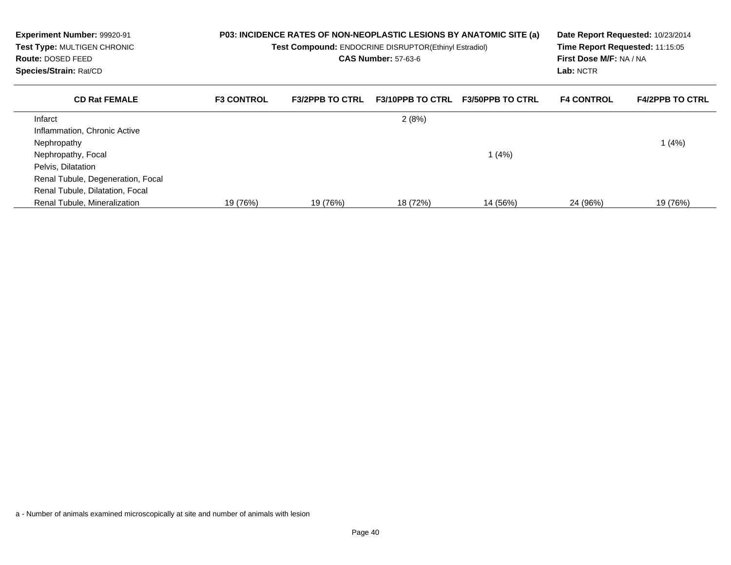| Experiment Number: 99920-91<br>Test Type: MULTIGEN CHRONIC<br><b>Route: DOSED FEED</b><br>Species/Strain: Rat/CD | P03: INCIDENCE RATES OF NON-NEOPLASTIC LESIONS BY ANATOMIC SITE (a)<br>Test Compound: ENDOCRINE DISRUPTOR(Ethinyl Estradiol)<br><b>CAS Number: 57-63-6</b> |                        |                         | Time Report Requested: 11:15:05<br>First Dose M/F: NA / NA<br>Lab: NCTR | Date Report Requested: 10/23/2014 |                        |
|------------------------------------------------------------------------------------------------------------------|------------------------------------------------------------------------------------------------------------------------------------------------------------|------------------------|-------------------------|-------------------------------------------------------------------------|-----------------------------------|------------------------|
| <b>CD Rat FEMALE</b>                                                                                             | <b>F3 CONTROL</b>                                                                                                                                          | <b>F3/2PPB TO CTRL</b> | <b>F3/10PPB TO CTRL</b> | <b>F3/50PPB TO CTRL</b>                                                 | <b>F4 CONTROL</b>                 | <b>F4/2PPB TO CTRL</b> |
| Infarct                                                                                                          |                                                                                                                                                            |                        | 2(8%)                   |                                                                         |                                   |                        |
| Inflammation, Chronic Active                                                                                     |                                                                                                                                                            |                        |                         |                                                                         |                                   |                        |
| Nephropathy                                                                                                      |                                                                                                                                                            |                        |                         |                                                                         |                                   | (4%)                   |
| Nephropathy, Focal                                                                                               |                                                                                                                                                            |                        |                         | 1 $(4%)$                                                                |                                   |                        |
| Pelvis, Dilatation                                                                                               |                                                                                                                                                            |                        |                         |                                                                         |                                   |                        |
| Renal Tubule, Degeneration, Focal                                                                                |                                                                                                                                                            |                        |                         |                                                                         |                                   |                        |
| Renal Tubule, Dilatation, Focal                                                                                  |                                                                                                                                                            |                        |                         |                                                                         |                                   |                        |
| Renal Tubule, Mineralization                                                                                     | 19 (76%)                                                                                                                                                   | 19 (76%)               | 18 (72%)                | 14 (56%)                                                                | 24 (96%)                          | 19 (76%)               |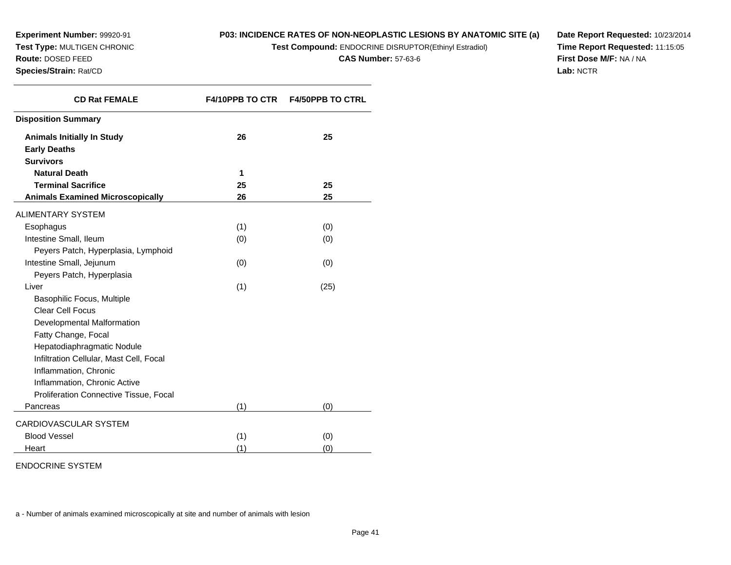**Experiment Number:** 99920-91 **Test Type:** MULTIGEN CHRONIC**Route:** DOSED FEED

#### **Species/Strain:** Rat/CD

# **P03: INCIDENCE RATES OF NON-NEOPLASTIC LESIONS BY ANATOMIC SITE (a)**

**Test Compound:** ENDOCRINE DISRUPTOR(Ethinyl Estradiol)

**CAS Number:** 57-63-6

**Date Report Requested:** 10/23/2014**Time Report Requested:** 11:15:05**First Dose M/F:** NA / NA**Lab:** NCTR

| <b>CD Rat FEMALE</b>                    | <b>F4/10PPB TO CTR</b> | <b>F4/50PPB TO CTRL</b> |
|-----------------------------------------|------------------------|-------------------------|
| <b>Disposition Summary</b>              |                        |                         |
| <b>Animals Initially In Study</b>       | 26                     | 25                      |
| <b>Early Deaths</b>                     |                        |                         |
| <b>Survivors</b>                        |                        |                         |
| <b>Natural Death</b>                    | 1                      |                         |
| <b>Terminal Sacrifice</b>               | 25                     | 25                      |
| <b>Animals Examined Microscopically</b> | 26                     | 25                      |
| <b>ALIMENTARY SYSTEM</b>                |                        |                         |
| Esophagus                               | (1)                    | (0)                     |
| Intestine Small, Ileum                  | (0)                    | (0)                     |
| Peyers Patch, Hyperplasia, Lymphoid     |                        |                         |
| Intestine Small, Jejunum                | (0)                    | (0)                     |
| Peyers Patch, Hyperplasia               |                        |                         |
| Liver                                   | (1)                    | (25)                    |
| Basophilic Focus, Multiple              |                        |                         |
| <b>Clear Cell Focus</b>                 |                        |                         |
| Developmental Malformation              |                        |                         |
| Fatty Change, Focal                     |                        |                         |
| Hepatodiaphragmatic Nodule              |                        |                         |
| Infiltration Cellular, Mast Cell, Focal |                        |                         |
| Inflammation, Chronic                   |                        |                         |
| Inflammation, Chronic Active            |                        |                         |
| Proliferation Connective Tissue, Focal  |                        |                         |
| Pancreas                                | (1)                    | (0)                     |
| CARDIOVASCULAR SYSTEM                   |                        |                         |
| <b>Blood Vessel</b>                     | (1)                    | (0)                     |
| Heart                                   | (1)                    | (0)                     |

ENDOCRINE SYSTEM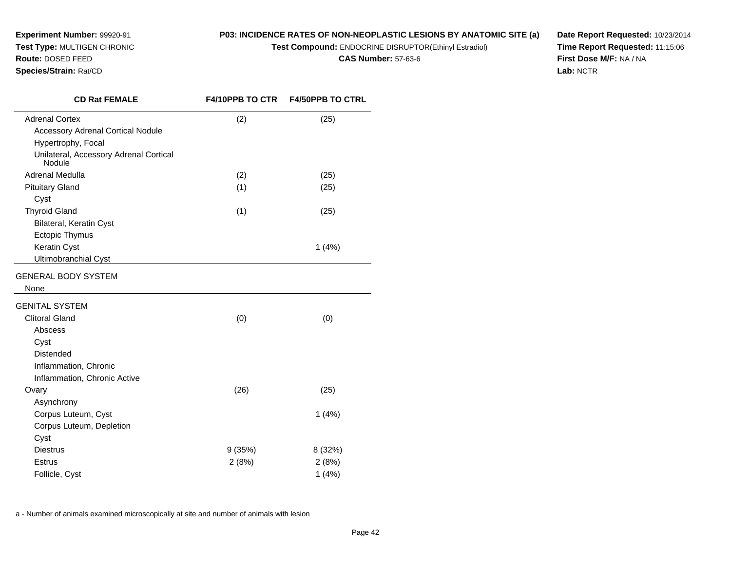**Experiment Number:** 99920-91**Test Type:** MULTIGEN CHRONIC

#### **Route:** DOSED FEED

**Species/Strain:** Rat/CD

# **P03: INCIDENCE RATES OF NON-NEOPLASTIC LESIONS BY ANATOMIC SITE (a)**

**Test Compound:** ENDOCRINE DISRUPTOR(Ethinyl Estradiol)

**CAS Number:** 57-63-6

**Date Report Requested:** 10/23/2014**Time Report Requested:** 11:15:06**First Dose M/F:** NA / NA**Lab:** NCTR

| <b>CD Rat FEMALE</b>                             | <b>F4/10PPB TO CTR</b> | <b>F4/50PPB TO CTRL</b> |
|--------------------------------------------------|------------------------|-------------------------|
| <b>Adrenal Cortex</b>                            | (2)                    | (25)                    |
| <b>Accessory Adrenal Cortical Nodule</b>         |                        |                         |
| Hypertrophy, Focal                               |                        |                         |
| Unilateral, Accessory Adrenal Cortical<br>Nodule |                        |                         |
| Adrenal Medulla                                  | (2)                    | (25)                    |
| <b>Pituitary Gland</b>                           | (1)                    | (25)                    |
| Cyst                                             |                        |                         |
| <b>Thyroid Gland</b>                             | (1)                    | (25)                    |
| Bilateral, Keratin Cyst                          |                        |                         |
| Ectopic Thymus                                   |                        |                         |
| Keratin Cyst                                     |                        | 1(4%)                   |
| <b>Ultimobranchial Cyst</b>                      |                        |                         |
| <b>GENERAL BODY SYSTEM</b>                       |                        |                         |
| None                                             |                        |                         |
| <b>GENITAL SYSTEM</b>                            |                        |                         |
| <b>Clitoral Gland</b>                            | (0)                    | (0)                     |
| Abscess                                          |                        |                         |
| Cyst                                             |                        |                         |
| <b>Distended</b>                                 |                        |                         |
| Inflammation, Chronic                            |                        |                         |
| Inflammation, Chronic Active                     |                        |                         |
| Ovary                                            | (26)                   | (25)                    |
| Asynchrony                                       |                        |                         |
| Corpus Luteum, Cyst                              |                        | 1(4%)                   |
| Corpus Luteum, Depletion                         |                        |                         |
| Cyst                                             |                        |                         |
| <b>Diestrus</b>                                  | 9(35%)                 | 8 (32%)                 |
| <b>Estrus</b>                                    | 2(8%)                  | 2(8%)                   |
| Follicle, Cyst                                   |                        | 1(4%)                   |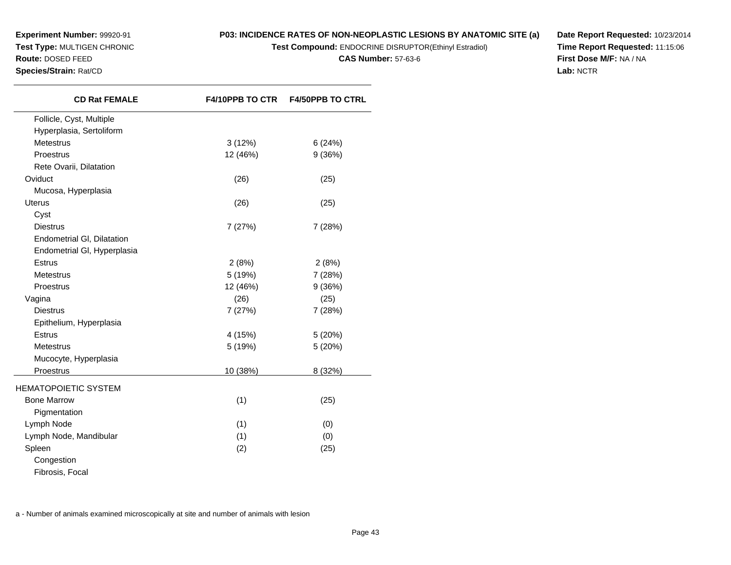# **P03: INCIDENCE RATES OF NON-NEOPLASTIC LESIONS BY ANATOMIC SITE (a)**

**Test Compound:** ENDOCRINE DISRUPTOR(Ethinyl Estradiol)

**CAS Number:** 57-63-6

**Date Report Requested:** 10/23/2014**Time Report Requested:** 11:15:06**First Dose M/F:** NA / NA**Lab:** NCTR

|          | <b>F4/50PPB TO CTRL</b>                                       |
|----------|---------------------------------------------------------------|
|          |                                                               |
|          |                                                               |
| 3(12%)   | 6(24%)                                                        |
| 12 (46%) | 9(36%)                                                        |
|          |                                                               |
| (26)     | (25)                                                          |
|          |                                                               |
| (26)     | (25)                                                          |
|          |                                                               |
| 7(27%)   | 7(28%)                                                        |
|          |                                                               |
|          |                                                               |
| 2(8%)    | 2(8%)                                                         |
|          | 7(28%)                                                        |
| 12 (46%) | 9(36%)                                                        |
| (26)     | (25)                                                          |
| 7(27%)   | 7 (28%)                                                       |
|          |                                                               |
| 4 (15%)  | 5(20%)                                                        |
| 5 (19%)  | 5(20%)                                                        |
|          |                                                               |
| 10 (38%) | 8 (32%)                                                       |
|          |                                                               |
|          | (25)                                                          |
|          |                                                               |
|          | (0)                                                           |
|          | (0)                                                           |
|          | (25)                                                          |
|          |                                                               |
|          |                                                               |
|          | <b>F4/10PPB TO CTR</b><br>5 (19%)<br>(1)<br>(1)<br>(1)<br>(2) |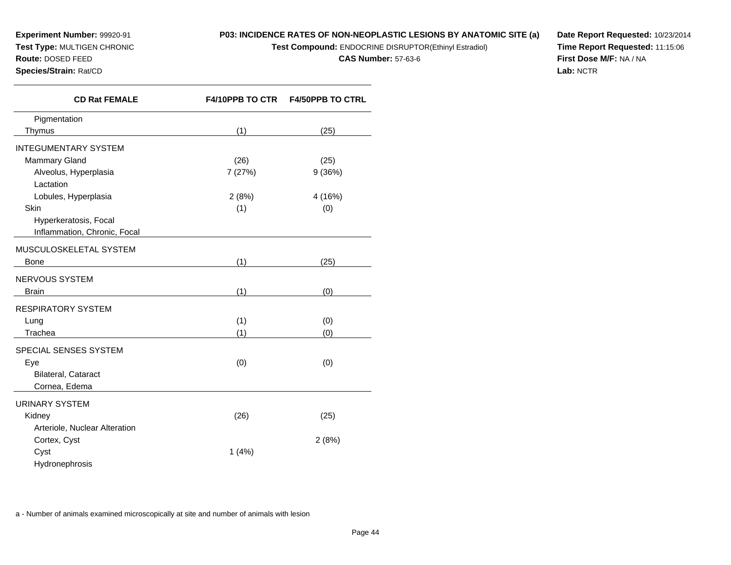# **P03: INCIDENCE RATES OF NON-NEOPLASTIC LESIONS BY ANATOMIC SITE (a)**

**Test Compound:** ENDOCRINE DISRUPTOR(Ethinyl Estradiol)

**CAS Number:** 57-63-6

**Date Report Requested:** 10/23/2014**Time Report Requested:** 11:15:06**First Dose M/F:** NA / NA**Lab:** NCTR

| <b>CD Rat FEMALE</b>                                                        | <b>F4/10PPB TO CTR</b> | <b>F4/50PPB TO CTRL</b> |
|-----------------------------------------------------------------------------|------------------------|-------------------------|
| Pigmentation                                                                |                        |                         |
| Thymus                                                                      | (1)                    | (25)                    |
| <b>INTEGUMENTARY SYSTEM</b>                                                 |                        |                         |
| <b>Mammary Gland</b>                                                        | (26)                   | (25)                    |
| Alveolus, Hyperplasia                                                       | 7 (27%)                | 9(36%)                  |
| Lactation                                                                   |                        |                         |
| Lobules, Hyperplasia                                                        | 2(8%)                  | 4 (16%)                 |
| Skin                                                                        | (1)                    | (0)                     |
| Hyperkeratosis, Focal                                                       |                        |                         |
| Inflammation, Chronic, Focal                                                |                        |                         |
| MUSCULOSKELETAL SYSTEM                                                      |                        |                         |
| Bone<br><u> 1986 - Johann Stone, mars eta biztanleria (</u>                 | (1)                    | (25)                    |
| NERVOUS SYSTEM                                                              |                        |                         |
| <b>Brain</b><br><u> 1989 - Johann Barbara, martxa al III-lea (h. 1974).</u> | (1)                    | (0)                     |
| <b>RESPIRATORY SYSTEM</b>                                                   |                        |                         |
| Lung                                                                        | (1)                    | (0)                     |
| Trachea                                                                     | (1)                    | (0)                     |
| SPECIAL SENSES SYSTEM                                                       |                        |                         |
|                                                                             | (0)                    |                         |
| Eye<br>Bilateral, Cataract                                                  |                        | (0)                     |
| Cornea, Edema                                                               |                        |                         |
|                                                                             |                        |                         |
| <b>URINARY SYSTEM</b>                                                       |                        |                         |
| Kidney                                                                      | (26)                   | (25)                    |
| Arteriole, Nuclear Alteration                                               |                        |                         |
| Cortex, Cyst                                                                |                        | 2(8%)                   |
| Cyst                                                                        | 1(4%)                  |                         |
| Hydronephrosis                                                              |                        |                         |